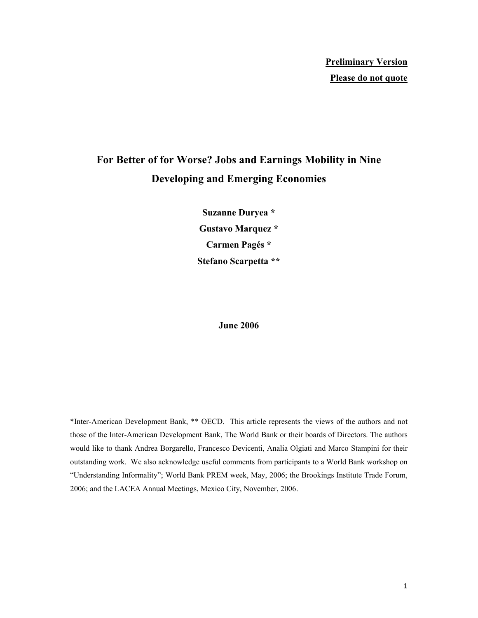# **For Better of for Worse? Jobs and Earnings Mobility in Nine Developing and Emerging Economies**

**Suzanne Duryea \* Gustavo Marquez \* Carmen Pagés \* Stefano Scarpetta \*\*** 

#### **June 2006**

\*Inter-American Development Bank, \*\* OECD. This article represents the views of the authors and not those of the Inter-American Development Bank, The World Bank or their boards of Directors. The authors would like to thank Andrea Borgarello, Francesco Devicenti, Analia Olgiati and Marco Stampini for their outstanding work. We also acknowledge useful comments from participants to a World Bank workshop on "Understanding Informality"; World Bank PREM week, May, 2006; the Brookings Institute Trade Forum, 2006; and the LACEA Annual Meetings, Mexico City, November, 2006.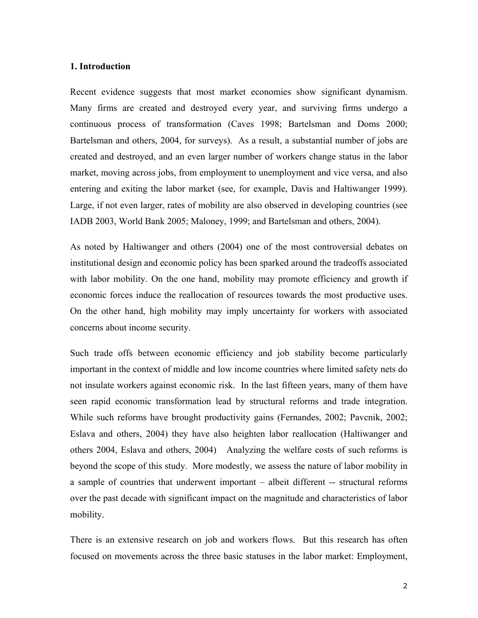#### **1. Introduction**

Recent evidence suggests that most market economies show significant dynamism. Many firms are created and destroyed every year, and surviving firms undergo a continuous process of transformation (Caves 1998; Bartelsman and Doms 2000; Bartelsman and others, 2004, for surveys). As a result, a substantial number of jobs are created and destroyed, and an even larger number of workers change status in the labor market, moving across jobs, from employment to unemployment and vice versa, and also entering and exiting the labor market (see, for example, Davis and Haltiwanger 1999). Large, if not even larger, rates of mobility are also observed in developing countries (see IADB 2003, World Bank 2005; Maloney, 1999; and Bartelsman and others, 2004).

As noted by Haltiwanger and others (2004) one of the most controversial debates on institutional design and economic policy has been sparked around the tradeoffs associated with labor mobility. On the one hand, mobility may promote efficiency and growth if economic forces induce the reallocation of resources towards the most productive uses. On the other hand, high mobility may imply uncertainty for workers with associated concerns about income security.

Such trade offs between economic efficiency and job stability become particularly important in the context of middle and low income countries where limited safety nets do not insulate workers against economic risk. In the last fifteen years, many of them have seen rapid economic transformation lead by structural reforms and trade integration. While such reforms have brought productivity gains (Fernandes, 2002; Pavcnik, 2002; Eslava and others, 2004) they have also heighten labor reallocation (Haltiwanger and others 2004, Eslava and others, 2004) Analyzing the welfare costs of such reforms is beyond the scope of this study. More modestly, we assess the nature of labor mobility in a sample of countries that underwent important – albeit different -- structural reforms over the past decade with significant impact on the magnitude and characteristics of labor mobility.

There is an extensive research on job and workers flows. But this research has often focused on movements across the three basic statuses in the labor market: Employment,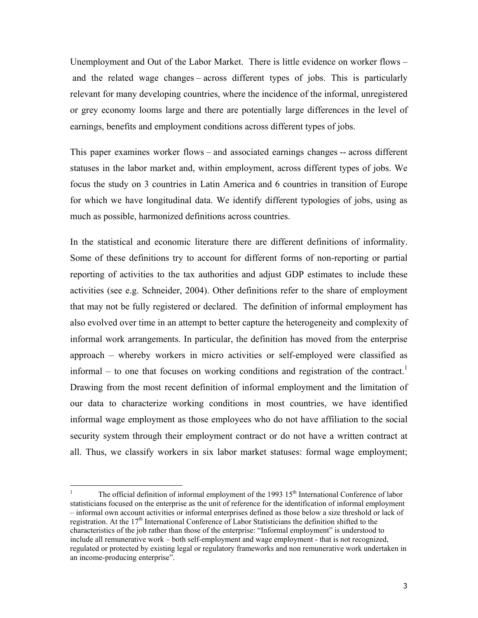Unemployment and Out of the Labor Market. There is little evidence on worker flows – and the related wage changes – across different types of jobs. This is particularly relevant for many developing countries, where the incidence of the informal, unregistered or grey economy looms large and there are potentially large differences in the level of earnings, benefits and employment conditions across different types of jobs.

This paper examines worker flows – and associated earnings changes -- across different statuses in the labor market and, within employment, across different types of jobs. We focus the study on 3 countries in Latin America and 6 countries in transition of Europe for which we have longitudinal data. We identify different typologies of jobs, using as much as possible, harmonized definitions across countries.

In the statistical and economic literature there are different definitions of informality. Some of these definitions try to account for different forms of non-reporting or partial reporting of activities to the tax authorities and adjust GDP estimates to include these activities (see e.g. Schneider, 2004). Other definitions refer to the share of employment that may not be fully registered or declared. The definition of informal employment has also evolved over time in an attempt to better capture the heterogeneity and complexity of informal work arrangements. In particular, the definition has moved from the enterprise approach – whereby workers in micro activities or self-employed were classified as informal – to one that focuses on working conditions and registration of the contract.<sup>1</sup> Drawing from the most recent definition of informal employment and the limitation of our data to characterize working conditions in most countries, we have identified informal wage employment as those employees who do not have affiliation to the social security system through their employment contract or do not have a written contract at all. Thus, we classify workers in six labor market statuses: formal wage employment;

 $\frac{1}{1}$ The official definition of informal employment of the 1993 15<sup>th</sup> International Conference of labor statisticians focused on the enterprise as the unit of reference for the identification of informal employment – informal own account activities or informal enterprises defined as those below a size threshold or lack of registration. At the  $17<sup>th</sup>$  International Conference of Labor Statisticians the definition shifted to the characteristics of the job rather than those of the enterprise: "Informal employment" is understood to include all remunerative work – both self-employment and wage employment - that is not recognized, regulated or protected by existing legal or regulatory frameworks and non remunerative work undertaken in an income-producing enterprise".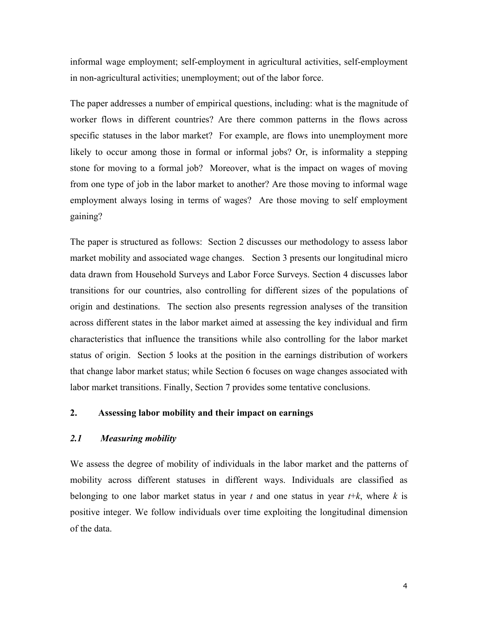informal wage employment; self-employment in agricultural activities, self-employment in non-agricultural activities; unemployment; out of the labor force.

The paper addresses a number of empirical questions, including: what is the magnitude of worker flows in different countries? Are there common patterns in the flows across specific statuses in the labor market? For example, are flows into unemployment more likely to occur among those in formal or informal jobs? Or, is informality a stepping stone for moving to a formal job? Moreover, what is the impact on wages of moving from one type of job in the labor market to another? Are those moving to informal wage employment always losing in terms of wages? Are those moving to self employment gaining?

The paper is structured as follows: Section 2 discusses our methodology to assess labor market mobility and associated wage changes. Section 3 presents our longitudinal micro data drawn from Household Surveys and Labor Force Surveys. Section 4 discusses labor transitions for our countries, also controlling for different sizes of the populations of origin and destinations. The section also presents regression analyses of the transition across different states in the labor market aimed at assessing the key individual and firm characteristics that influence the transitions while also controlling for the labor market status of origin. Section 5 looks at the position in the earnings distribution of workers that change labor market status; while Section 6 focuses on wage changes associated with labor market transitions. Finally, Section 7 provides some tentative conclusions.

## **2. Assessing labor mobility and their impact on earnings**

### *2.1 Measuring mobility*

We assess the degree of mobility of individuals in the labor market and the patterns of mobility across different statuses in different ways. Individuals are classified as belonging to one labor market status in year *t* and one status in year *t*+*k*, where *k* is positive integer. We follow individuals over time exploiting the longitudinal dimension of the data.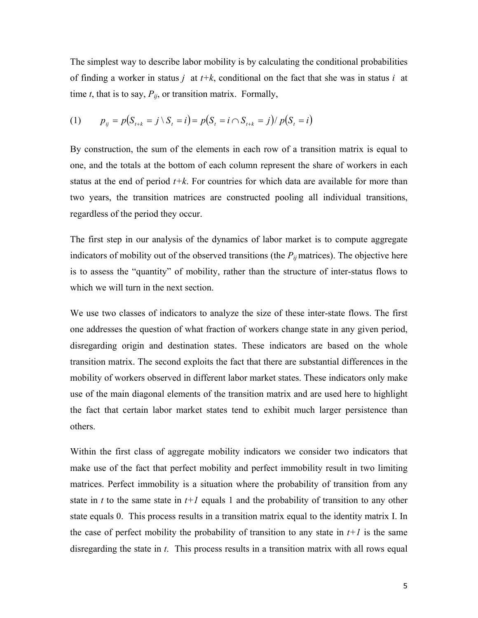The simplest way to describe labor mobility is by calculating the conditional probabilities of finding a worker in status *j* at *t+k*, conditional on the fact that she was in status *i* at time *t*, that is to say,  $P_{ii}$ , or transition matrix. Formally,

(1) 
$$
p_{ij} = p(S_{t+k} = j \setminus S_t = i) = p(S_t = i \cap S_{t+k} = j) / p(S_t = i)
$$

By construction, the sum of the elements in each row of a transition matrix is equal to one, and the totals at the bottom of each column represent the share of workers in each status at the end of period  $t+k$ . For countries for which data are available for more than two years, the transition matrices are constructed pooling all individual transitions, regardless of the period they occur.

The first step in our analysis of the dynamics of labor market is to compute aggregate indicators of mobility out of the observed transitions (the  $P_{ij}$  matrices). The objective here is to assess the "quantity" of mobility, rather than the structure of inter-status flows to which we will turn in the next section.

We use two classes of indicators to analyze the size of these inter-state flows. The first one addresses the question of what fraction of workers change state in any given period, disregarding origin and destination states. These indicators are based on the whole transition matrix. The second exploits the fact that there are substantial differences in the mobility of workers observed in different labor market states. These indicators only make use of the main diagonal elements of the transition matrix and are used here to highlight the fact that certain labor market states tend to exhibit much larger persistence than others.

Within the first class of aggregate mobility indicators we consider two indicators that make use of the fact that perfect mobility and perfect immobility result in two limiting matrices. Perfect immobility is a situation where the probability of transition from any state in *t* to the same state in  $t+1$  equals 1 and the probability of transition to any other state equals 0. This process results in a transition matrix equal to the identity matrix I. In the case of perfect mobility the probability of transition to any state in  $t+1$  is the same disregarding the state in *t*. This process results in a transition matrix with all rows equal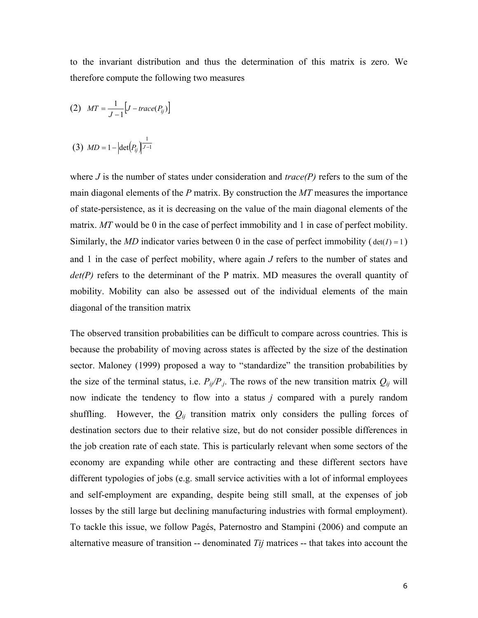to the invariant distribution and thus the determination of this matrix is zero. We therefore compute the following two measures

$$
(2) \quad MT = \frac{1}{J-1} \Big[ J - trace(P_{ij}) \Big]
$$

(3) 
$$
MD = 1 - |\det(P_{ij})|^{\frac{1}{J-1}}
$$

where *J* is the number of states under consideration and  $trace(P)$  refers to the sum of the main diagonal elements of the *P* matrix. By construction the *MT* measures the importance of state-persistence, as it is decreasing on the value of the main diagonal elements of the matrix. *MT* would be 0 in the case of perfect immobility and 1 in case of perfect mobility. Similarly, the *MD* indicator varies between 0 in the case of perfect immobility ( $det(I) = 1$ ) and 1 in the case of perfect mobility, where again *J* refers to the number of states and *det(P)* refers to the determinant of the P matrix. MD measures the overall quantity of mobility. Mobility can also be assessed out of the individual elements of the main diagonal of the transition matrix

The observed transition probabilities can be difficult to compare across countries. This is because the probability of moving across states is affected by the size of the destination sector. Maloney (1999) proposed a way to "standardize" the transition probabilities by the size of the terminal status, i.e.  $P_{ij}/P_{j}$ . The rows of the new transition matrix  $Q_{ij}$  will now indicate the tendency to flow into a status *j* compared with a purely random shuffling. However, the  $Q_{ij}$  transition matrix only considers the pulling forces of destination sectors due to their relative size, but do not consider possible differences in the job creation rate of each state. This is particularly relevant when some sectors of the economy are expanding while other are contracting and these different sectors have different typologies of jobs (e.g. small service activities with a lot of informal employees and self-employment are expanding, despite being still small, at the expenses of job losses by the still large but declining manufacturing industries with formal employment). To tackle this issue, we follow Pagés, Paternostro and Stampini (2006) and compute an alternative measure of transition -- denominated *Tij* matrices -- that takes into account the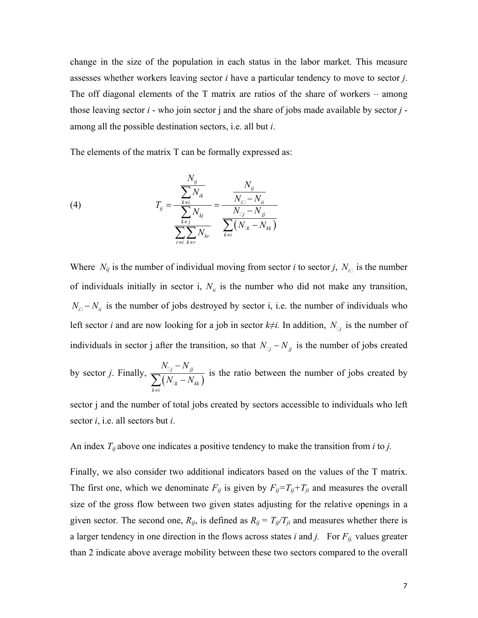change in the size of the population in each status in the labor market. This measure assesses whether workers leaving sector *i* have a particular tendency to move to sector *j*. The off diagonal elements of the T matrix are ratios of the share of workers – among those leaving sector *i* - who join sector j and the share of jobs made available by sector *j* among all the possible destination sectors, i.e. all but *i*.

The elements of the matrix T can be formally expressed as:

(4) 
$$
T_{ij} = \frac{\frac{N_{ij}}{\sum_{k \neq j} N_{ik}}}{\frac{\sum_{k \neq j} N_{kj}}{\sum_{r \neq i} k_{\neq r}}} = \frac{N_{ij}}{\frac{N_{i}}{N_{\square j} - N_{ji}}}
$$

Where  $N_{ij}$  is the number of individual moving from sector *i* to sector *j*,  $N_{i\Box}$  is the number of individuals initially in sector i,  $N_{ii}$  is the number who did not make any transition,  $N_{i\parallel} - N_{ii}$  is the number of jobs destroyed by sector i, i.e. the number of individuals who left sector *i* and are now looking for a job in sector  $k \neq i$ . In addition,  $N_{\mathbb{Q}_j}$  is the number of individuals in sector j after the transition, so that  $N_{\alpha j} - N_{jj}$  is the number of jobs created by sector *j*. Finally,  $\frac{N_{\text{Uj}} - N_{jj}}{\sum (N_{\text{Uk}} - N_{kk})}$ *k kk*  $k \neq i$  $N_{\scriptscriptstyle \Box i}-N$  $N_{\cap k} - N$ ≠ −  $\frac{1}{\displaystyle\sum(N_{\text{c}}_k -1)}$ Ц is the ratio between the number of jobs created by

sector j and the number of total jobs created by sectors accessible to individuals who left sector *i*, i.e. all sectors but *i*.

An index  $T_{ij}$  above one indicates a positive tendency to make the transition from *i* to *j*.

Finally, we also consider two additional indicators based on the values of the T matrix. The first one, which we denominate  $F_{ij}$  is given by  $F_{ij}=T_{ij}+T_{ji}$  and measures the overall size of the gross flow between two given states adjusting for the relative openings in a given sector. The second one,  $R_{ij}$ , is defined as  $R_{ij} = T_{ij}/T_{ji}$  and measures whether there is a larger tendency in one direction in the flows across states *i* and *j*. For  $F_{ij}$ , values greater than 2 indicate above average mobility between these two sectors compared to the overall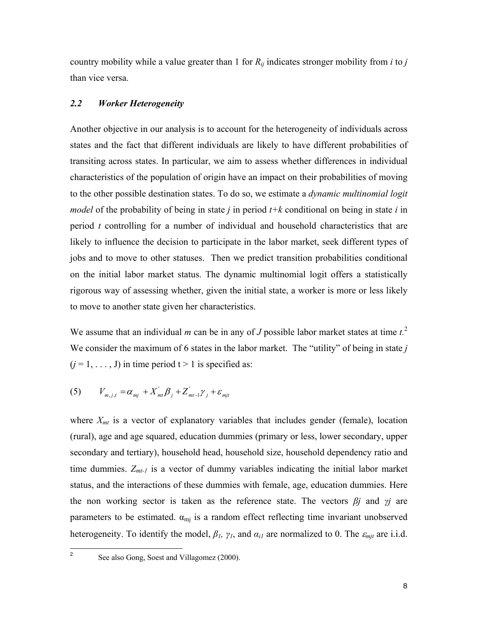country mobility while a value greater than 1 for  $R_{ij}$  indicates stronger mobility from *i* to *j* than vice versa.

### *2.2 Worker Heterogeneity*

Another objective in our analysis is to account for the heterogeneity of individuals across states and the fact that different individuals are likely to have different probabilities of transiting across states. In particular, we aim to assess whether differences in individual characteristics of the population of origin have an impact on their probabilities of moving to the other possible destination states. To do so, we estimate a *dynamic multinomial logit model* of the probability of being in state *j* in period *t+k* conditional on being in state *i* in period *t* controlling for a number of individual and household characteristics that are likely to influence the decision to participate in the labor market, seek different types of jobs and to move to other statuses. Then we predict transition probabilities conditional on the initial labor market status. The dynamic multinomial logit offers a statistically rigorous way of assessing whether, given the initial state, a worker is more or less likely to move to another state given her characteristics.

We assume that an individual *m* can be in any of *J* possible labor market states at time *t.*<sup>2</sup> We consider the maximum of 6 states in the labor market. The "utility" of being in state *j*  $(j = 1, \ldots, J)$  in time period  $t > 1$  is specified as:

$$
(5) \tV_{m,j,t} = \alpha_{mj} + X_{mt}^{\dagger} \beta_j + Z_{mt-1}^{\dagger} \gamma_j + \varepsilon_{mjt}
$$

where  $X_{mt}$  is a vector of explanatory variables that includes gender (female), location (rural), age and age squared, education dummies (primary or less, lower secondary, upper secondary and tertiary), household head, household size, household dependency ratio and time dummies.  $Z_{mt-l}$  is a vector of dummy variables indicating the initial labor market status, and the interactions of these dummies with female, age, education dummies. Here the non working sector is taken as the reference state. The vectors *βj* and *γj* are parameters to be estimated.  $\alpha_{mj}$  is a random effect reflecting time invariant unobserved heterogeneity. To identify the model,  $\beta_l$ ,  $\gamma_l$ , and  $\alpha_{il}$  are normalized to 0. The  $\varepsilon_{mjl}$  are i.i.d.

 $\frac{1}{2}$ 

See also Gong, Soest and Villagomez (2000).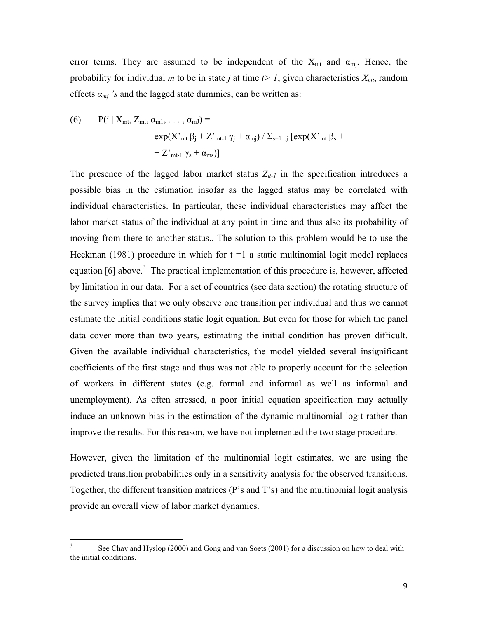error terms. They are assumed to be independent of the  $X_{mt}$  and  $\alpha_{mi}$ . Hence, the probability for individual *m* to be in state *j* at time  $t > 1$ , given characteristics  $X_{mt}$ , random effects  $a_{mj}$  's and the lagged state dummies, can be written as:

(6) 
$$
P(j | X_{mt}, Z_{mt}, \alpha_{m1}, ..., \alpha_{mJ}) = \exp(X'_{mt} \beta_j + Z'_{mt-1} \gamma_j + \alpha_{mj}) / \sum_{s=1..j} [exp(X'_{mt} \beta_s + Z'_{mt-1} \gamma_s + \alpha_{ms})]
$$

The presence of the lagged labor market status  $Z_{it-1}$  in the specification introduces a possible bias in the estimation insofar as the lagged status may be correlated with individual characteristics. In particular, these individual characteristics may affect the labor market status of the individual at any point in time and thus also its probability of moving from there to another status.. The solution to this problem would be to use the Heckman (1981) procedure in which for  $t = 1$  a static multinomial logit model replaces equation  $[6]$  above.<sup>3</sup> The practical implementation of this procedure is, however, affected by limitation in our data. For a set of countries (see data section) the rotating structure of the survey implies that we only observe one transition per individual and thus we cannot estimate the initial conditions static logit equation. But even for those for which the panel data cover more than two years, estimating the initial condition has proven difficult. Given the available individual characteristics, the model yielded several insignificant coefficients of the first stage and thus was not able to properly account for the selection of workers in different states (e.g. formal and informal as well as informal and unemployment). As often stressed, a poor initial equation specification may actually induce an unknown bias in the estimation of the dynamic multinomial logit rather than improve the results. For this reason, we have not implemented the two stage procedure.

However, given the limitation of the multinomial logit estimates, we are using the predicted transition probabilities only in a sensitivity analysis for the observed transitions. Together, the different transition matrices (P's and T's) and the multinomial logit analysis provide an overall view of labor market dynamics.

 3 See Chay and Hyslop (2000) and Gong and van Soets (2001) for a discussion on how to deal with the initial conditions.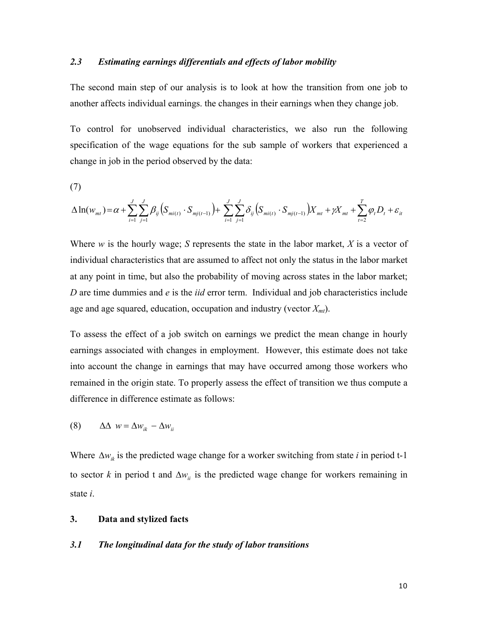### *2.3 Estimating earnings differentials and effects of labor mobility*

The second main step of our analysis is to look at how the transition from one job to another affects individual earnings. the changes in their earnings when they change job.

To control for unobserved individual characteristics, we also run the following specification of the wage equations for the sub sample of workers that experienced a change in job in the period observed by the data:

(7)

$$
\Delta \ln(w_{mt}) = \alpha + \sum_{i=1}^{J} \sum_{j=1}^{J} \beta_{ij} \left( S_{mi(t)} \cdot S_{mj(t-1)} \right) + \sum_{i=1}^{J} \sum_{j=1}^{J} \delta_{ij} \left( S_{mi(t)} \cdot S_{mj(t-1)} \right) X_{mt} + \gamma X_{mt} + \sum_{t=2}^{T} \varphi_t D_t + \varepsilon_{it}
$$

Where *w* is the hourly wage; *S* represents the state in the labor market, *X* is a vector of individual characteristics that are assumed to affect not only the status in the labor market at any point in time, but also the probability of moving across states in the labor market; *D* are time dummies and *e* is the *iid* error term. Individual and job characteristics include age and age squared, education, occupation and industry (vector  $X_{mt}$ ).

To assess the effect of a job switch on earnings we predict the mean change in hourly earnings associated with changes in employment. However, this estimate does not take into account the change in earnings that may have occurred among those workers who remained in the origin state. To properly assess the effect of transition we thus compute a difference in difference estimate as follows:

(8)  $\Delta \Delta w = \Delta w_{ik} - \Delta w_{ii}$ 

Where  $\Delta w_{ik}$  is the predicted wage change for a worker switching from state *i* in period t-1 to sector *k* in period t and  $\Delta w_{ii}$  is the predicted wage change for workers remaining in state *i*.

#### **3. Data and stylized facts**

#### *3.1 The longitudinal data for the study of labor transitions*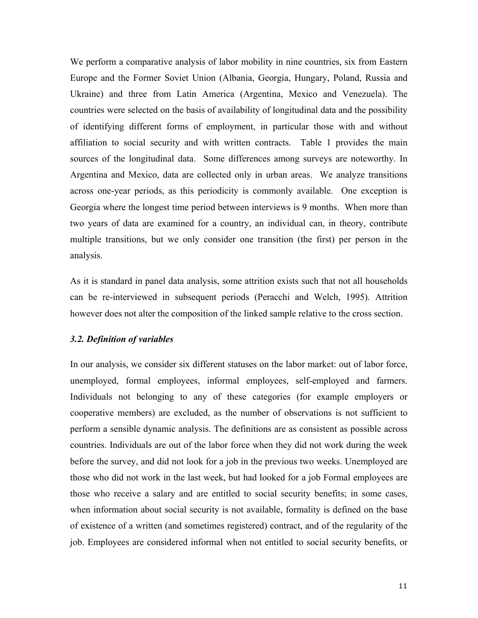We perform a comparative analysis of labor mobility in nine countries, six from Eastern Europe and the Former Soviet Union (Albania, Georgia, Hungary, Poland, Russia and Ukraine) and three from Latin America (Argentina, Mexico and Venezuela). The countries were selected on the basis of availability of longitudinal data and the possibility of identifying different forms of employment, in particular those with and without affiliation to social security and with written contracts. Table 1 provides the main sources of the longitudinal data. Some differences among surveys are noteworthy. In Argentina and Mexico, data are collected only in urban areas. We analyze transitions across one-year periods, as this periodicity is commonly available. One exception is Georgia where the longest time period between interviews is 9 months. When more than two years of data are examined for a country, an individual can, in theory, contribute multiple transitions, but we only consider one transition (the first) per person in the analysis.

As it is standard in panel data analysis, some attrition exists such that not all households can be re-interviewed in subsequent periods (Peracchi and Welch, 1995). Attrition however does not alter the composition of the linked sample relative to the cross section.

## *3.2. Definition of variables*

In our analysis, we consider six different statuses on the labor market: out of labor force, unemployed, formal employees, informal employees, self-employed and farmers. Individuals not belonging to any of these categories (for example employers or cooperative members) are excluded, as the number of observations is not sufficient to perform a sensible dynamic analysis. The definitions are as consistent as possible across countries. Individuals are out of the labor force when they did not work during the week before the survey, and did not look for a job in the previous two weeks. Unemployed are those who did not work in the last week, but had looked for a job Formal employees are those who receive a salary and are entitled to social security benefits; in some cases, when information about social security is not available, formality is defined on the base of existence of a written (and sometimes registered) contract, and of the regularity of the job. Employees are considered informal when not entitled to social security benefits, or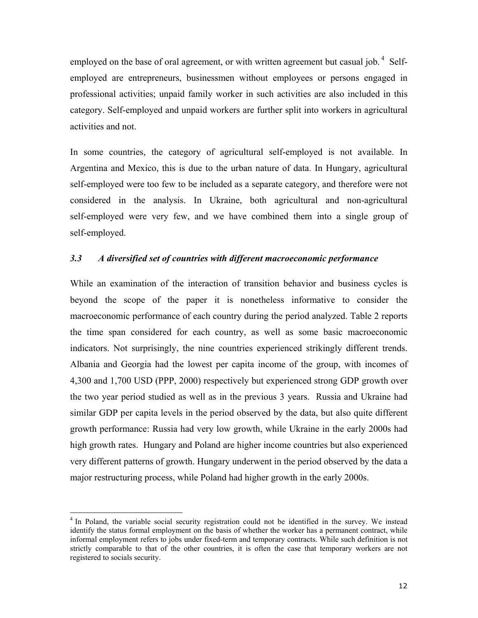employed on the base of oral agreement, or with written agreement but casual job.<sup>4</sup> Selfemployed are entrepreneurs, businessmen without employees or persons engaged in professional activities; unpaid family worker in such activities are also included in this category. Self-employed and unpaid workers are further split into workers in agricultural activities and not.

In some countries, the category of agricultural self-employed is not available. In Argentina and Mexico, this is due to the urban nature of data. In Hungary, agricultural self-employed were too few to be included as a separate category, and therefore were not considered in the analysis. In Ukraine, both agricultural and non-agricultural self-employed were very few, and we have combined them into a single group of self-employed.

### *3.3 A diversified set of countries with different macroeconomic performance*

While an examination of the interaction of transition behavior and business cycles is beyond the scope of the paper it is nonetheless informative to consider the macroeconomic performance of each country during the period analyzed. Table 2 reports the time span considered for each country, as well as some basic macroeconomic indicators. Not surprisingly, the nine countries experienced strikingly different trends. Albania and Georgia had the lowest per capita income of the group, with incomes of 4,300 and 1,700 USD (PPP, 2000) respectively but experienced strong GDP growth over the two year period studied as well as in the previous 3 years. Russia and Ukraine had similar GDP per capita levels in the period observed by the data, but also quite different growth performance: Russia had very low growth, while Ukraine in the early 2000s had high growth rates. Hungary and Poland are higher income countries but also experienced very different patterns of growth. Hungary underwent in the period observed by the data a major restructuring process, while Poland had higher growth in the early 2000s.

 $\overline{a}$ 

<sup>&</sup>lt;sup>4</sup> In Poland, the variable social security registration could not be identified in the survey. We instead identify the status formal employment on the basis of whether the worker has a permanent contract, while informal employment refers to jobs under fixed-term and temporary contracts. While such definition is not strictly comparable to that of the other countries, it is often the case that temporary workers are not registered to socials security.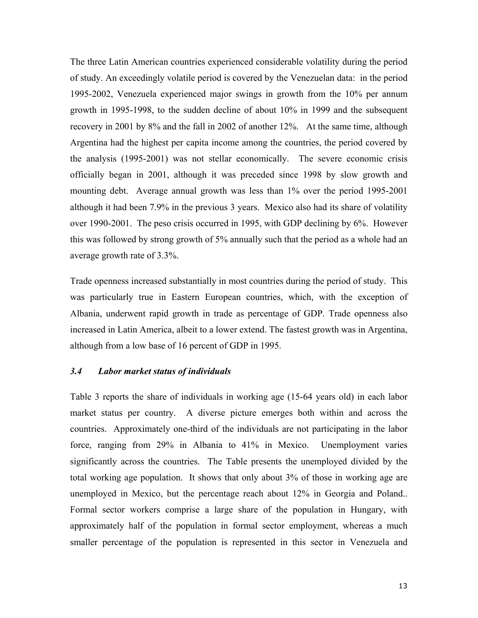The three Latin American countries experienced considerable volatility during the period of study. An exceedingly volatile period is covered by the Venezuelan data: in the period 1995-2002, Venezuela experienced major swings in growth from the 10% per annum growth in 1995-1998, to the sudden decline of about 10% in 1999 and the subsequent recovery in 2001 by 8% and the fall in 2002 of another 12%. At the same time, although Argentina had the highest per capita income among the countries, the period covered by the analysis (1995-2001) was not stellar economically. The severe economic crisis officially began in 2001, although it was preceded since 1998 by slow growth and mounting debt. Average annual growth was less than 1% over the period 1995-2001 although it had been 7.9% in the previous 3 years. Mexico also had its share of volatility over 1990-2001. The peso crisis occurred in 1995, with GDP declining by 6%. However this was followed by strong growth of 5% annually such that the period as a whole had an average growth rate of 3.3%.

Trade openness increased substantially in most countries during the period of study. This was particularly true in Eastern European countries, which, with the exception of Albania, underwent rapid growth in trade as percentage of GDP. Trade openness also increased in Latin America, albeit to a lower extend. The fastest growth was in Argentina, although from a low base of 16 percent of GDP in 1995.

#### *3.4 Labor market status of individuals*

Table 3 reports the share of individuals in working age (15-64 years old) in each labor market status per country. A diverse picture emerges both within and across the countries. Approximately one-third of the individuals are not participating in the labor force, ranging from 29% in Albania to 41% in Mexico. Unemployment varies significantly across the countries. The Table presents the unemployed divided by the total working age population. It shows that only about 3% of those in working age are unemployed in Mexico, but the percentage reach about 12% in Georgia and Poland.. Formal sector workers comprise a large share of the population in Hungary, with approximately half of the population in formal sector employment, whereas a much smaller percentage of the population is represented in this sector in Venezuela and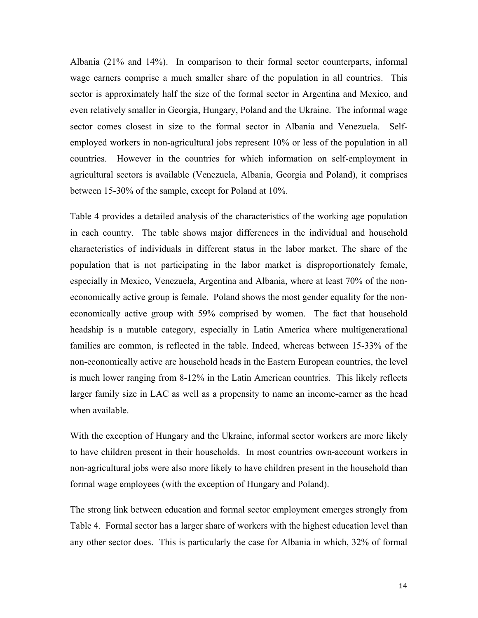Albania (21% and 14%). In comparison to their formal sector counterparts, informal wage earners comprise a much smaller share of the population in all countries. This sector is approximately half the size of the formal sector in Argentina and Mexico, and even relatively smaller in Georgia, Hungary, Poland and the Ukraine. The informal wage sector comes closest in size to the formal sector in Albania and Venezuela. Selfemployed workers in non-agricultural jobs represent 10% or less of the population in all countries. However in the countries for which information on self-employment in agricultural sectors is available (Venezuela, Albania, Georgia and Poland), it comprises between 15-30% of the sample, except for Poland at 10%.

Table 4 provides a detailed analysis of the characteristics of the working age population in each country. The table shows major differences in the individual and household characteristics of individuals in different status in the labor market. The share of the population that is not participating in the labor market is disproportionately female, especially in Mexico, Venezuela, Argentina and Albania, where at least 70% of the noneconomically active group is female. Poland shows the most gender equality for the noneconomically active group with 59% comprised by women. The fact that household headship is a mutable category, especially in Latin America where multigenerational families are common, is reflected in the table. Indeed, whereas between 15-33% of the non-economically active are household heads in the Eastern European countries, the level is much lower ranging from 8-12% in the Latin American countries. This likely reflects larger family size in LAC as well as a propensity to name an income-earner as the head when available.

With the exception of Hungary and the Ukraine, informal sector workers are more likely to have children present in their households. In most countries own-account workers in non-agricultural jobs were also more likely to have children present in the household than formal wage employees (with the exception of Hungary and Poland).

The strong link between education and formal sector employment emerges strongly from Table 4. Formal sector has a larger share of workers with the highest education level than any other sector does. This is particularly the case for Albania in which, 32% of formal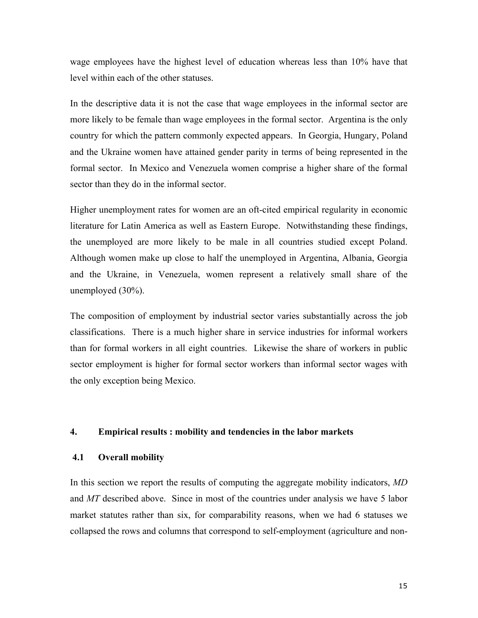wage employees have the highest level of education whereas less than 10% have that level within each of the other statuses.

In the descriptive data it is not the case that wage employees in the informal sector are more likely to be female than wage employees in the formal sector. Argentina is the only country for which the pattern commonly expected appears. In Georgia, Hungary, Poland and the Ukraine women have attained gender parity in terms of being represented in the formal sector. In Mexico and Venezuela women comprise a higher share of the formal sector than they do in the informal sector.

Higher unemployment rates for women are an oft-cited empirical regularity in economic literature for Latin America as well as Eastern Europe. Notwithstanding these findings, the unemployed are more likely to be male in all countries studied except Poland. Although women make up close to half the unemployed in Argentina, Albania, Georgia and the Ukraine, in Venezuela, women represent a relatively small share of the unemployed (30%).

The composition of employment by industrial sector varies substantially across the job classifications. There is a much higher share in service industries for informal workers than for formal workers in all eight countries. Likewise the share of workers in public sector employment is higher for formal sector workers than informal sector wages with the only exception being Mexico.

#### **4. Empirical results : mobility and tendencies in the labor markets**

### **4.1 Overall mobility**

In this section we report the results of computing the aggregate mobility indicators, *MD* and *MT* described above. Since in most of the countries under analysis we have 5 labor market statutes rather than six, for comparability reasons, when we had 6 statuses we collapsed the rows and columns that correspond to self-employment (agriculture and non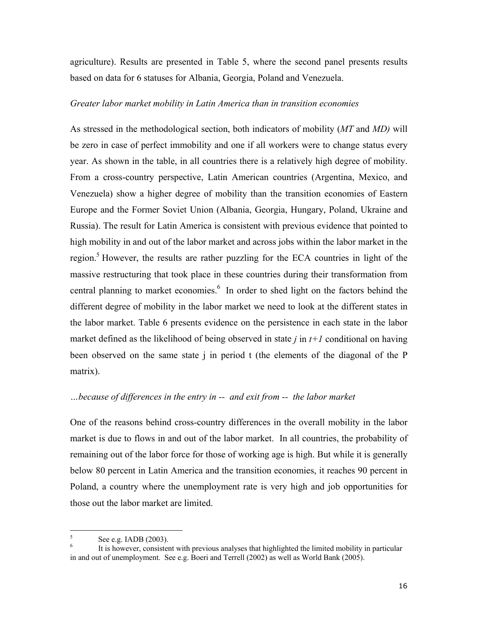agriculture). Results are presented in Table 5, where the second panel presents results based on data for 6 statuses for Albania, Georgia, Poland and Venezuela.

#### *Greater labor market mobility in Latin America than in transition economies*

As stressed in the methodological section, both indicators of mobility (*MT* and *MD)* will be zero in case of perfect immobility and one if all workers were to change status every year. As shown in the table, in all countries there is a relatively high degree of mobility. From a cross-country perspective, Latin American countries (Argentina, Mexico, and Venezuela) show a higher degree of mobility than the transition economies of Eastern Europe and the Former Soviet Union (Albania, Georgia, Hungary, Poland, Ukraine and Russia). The result for Latin America is consistent with previous evidence that pointed to high mobility in and out of the labor market and across jobs within the labor market in the region.<sup>5</sup> However, the results are rather puzzling for the ECA countries in light of the massive restructuring that took place in these countries during their transformation from central planning to market economies.<sup>6</sup> In order to shed light on the factors behind the different degree of mobility in the labor market we need to look at the different states in the labor market. Table 6 presents evidence on the persistence in each state in the labor market defined as the likelihood of being observed in state  $j$  in  $t+1$  conditional on having been observed on the same state j in period t (the elements of the diagonal of the P matrix).

#### *…because of differences in the entry in -- and exit from -- the labor market*

One of the reasons behind cross-country differences in the overall mobility in the labor market is due to flows in and out of the labor market. In all countries, the probability of remaining out of the labor force for those of working age is high. But while it is generally below 80 percent in Latin America and the transition economies, it reaches 90 percent in Poland, a country where the unemployment rate is very high and job opportunities for those out the labor market are limited.

 5 See e.g. IADB (2003).

<sup>6</sup> It is however, consistent with previous analyses that highlighted the limited mobility in particular in and out of unemployment. See e.g. Boeri and Terrell (2002) as well as World Bank (2005).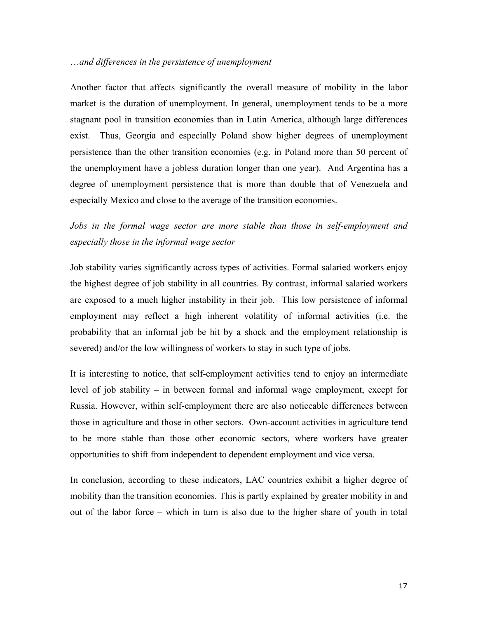#### …*and differences in the persistence of unemployment*

Another factor that affects significantly the overall measure of mobility in the labor market is the duration of unemployment. In general, unemployment tends to be a more stagnant pool in transition economies than in Latin America, although large differences exist. Thus, Georgia and especially Poland show higher degrees of unemployment persistence than the other transition economies (e.g. in Poland more than 50 percent of the unemployment have a jobless duration longer than one year). And Argentina has a degree of unemployment persistence that is more than double that of Venezuela and especially Mexico and close to the average of the transition economies.

*Jobs in the formal wage sector are more stable than those in self-employment and especially those in the informal wage sector* 

Job stability varies significantly across types of activities. Formal salaried workers enjoy the highest degree of job stability in all countries. By contrast, informal salaried workers are exposed to a much higher instability in their job. This low persistence of informal employment may reflect a high inherent volatility of informal activities (i.e. the probability that an informal job be hit by a shock and the employment relationship is severed) and/or the low willingness of workers to stay in such type of jobs.

It is interesting to notice, that self-employment activities tend to enjoy an intermediate level of job stability – in between formal and informal wage employment, except for Russia. However, within self-employment there are also noticeable differences between those in agriculture and those in other sectors. Own-account activities in agriculture tend to be more stable than those other economic sectors, where workers have greater opportunities to shift from independent to dependent employment and vice versa.

In conclusion, according to these indicators, LAC countries exhibit a higher degree of mobility than the transition economies. This is partly explained by greater mobility in and out of the labor force – which in turn is also due to the higher share of youth in total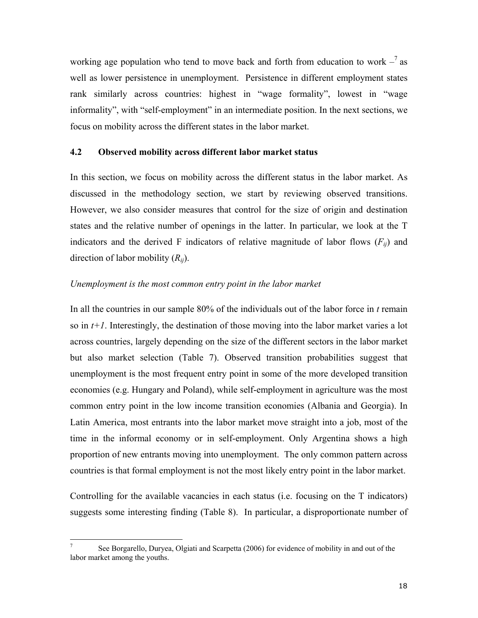working age population who tend to move back and forth from education to work  $-$ <sup>7</sup> as well as lower persistence in unemployment. Persistence in different employment states rank similarly across countries: highest in "wage formality", lowest in "wage informality", with "self-employment" in an intermediate position. In the next sections, we focus on mobility across the different states in the labor market.

## **4.2 Observed mobility across different labor market status**

In this section, we focus on mobility across the different status in the labor market. As discussed in the methodology section, we start by reviewing observed transitions. However, we also consider measures that control for the size of origin and destination states and the relative number of openings in the latter. In particular, we look at the T indicators and the derived F indicators of relative magnitude of labor flows  $(F_{ii})$  and direction of labor mobility (*Rij*).

#### *Unemployment is the most common entry point in the labor market*

In all the countries in our sample 80% of the individuals out of the labor force in *t* remain so in *t+1*. Interestingly, the destination of those moving into the labor market varies a lot across countries, largely depending on the size of the different sectors in the labor market but also market selection (Table 7). Observed transition probabilities suggest that unemployment is the most frequent entry point in some of the more developed transition economies (e.g. Hungary and Poland), while self-employment in agriculture was the most common entry point in the low income transition economies (Albania and Georgia). In Latin America, most entrants into the labor market move straight into a job, most of the time in the informal economy or in self-employment. Only Argentina shows a high proportion of new entrants moving into unemployment. The only common pattern across countries is that formal employment is not the most likely entry point in the labor market.

Controlling for the available vacancies in each status (i.e. focusing on the T indicators) suggests some interesting finding (Table 8). In particular, a disproportionate number of

 $\overline{a}$ 

<sup>7</sup> See Borgarello, Duryea, Olgiati and Scarpetta (2006) for evidence of mobility in and out of the labor market among the youths.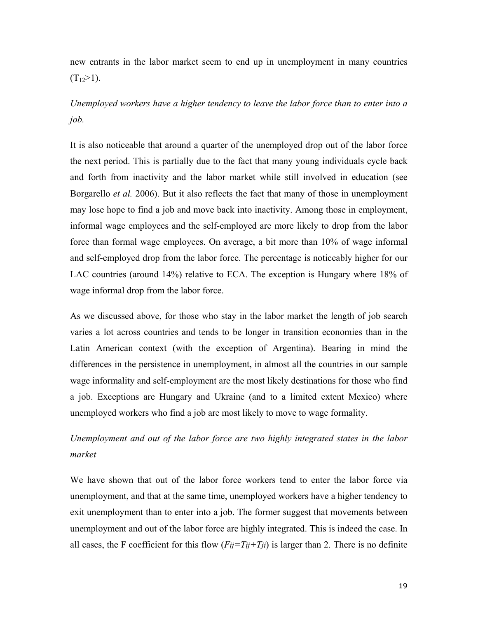new entrants in the labor market seem to end up in unemployment in many countries  $(T_1 > 1)$ .

# *Unemployed workers have a higher tendency to leave the labor force than to enter into a job.*

It is also noticeable that around a quarter of the unemployed drop out of the labor force the next period. This is partially due to the fact that many young individuals cycle back and forth from inactivity and the labor market while still involved in education (see Borgarello *et al.* 2006). But it also reflects the fact that many of those in unemployment may lose hope to find a job and move back into inactivity. Among those in employment, informal wage employees and the self-employed are more likely to drop from the labor force than formal wage employees. On average, a bit more than 10% of wage informal and self-employed drop from the labor force. The percentage is noticeably higher for our LAC countries (around 14%) relative to ECA. The exception is Hungary where 18% of wage informal drop from the labor force.

As we discussed above, for those who stay in the labor market the length of job search varies a lot across countries and tends to be longer in transition economies than in the Latin American context (with the exception of Argentina). Bearing in mind the differences in the persistence in unemployment, in almost all the countries in our sample wage informality and self-employment are the most likely destinations for those who find a job. Exceptions are Hungary and Ukraine (and to a limited extent Mexico) where unemployed workers who find a job are most likely to move to wage formality.

# *Unemployment and out of the labor force are two highly integrated states in the labor market*

We have shown that out of the labor force workers tend to enter the labor force via unemployment, and that at the same time, unemployed workers have a higher tendency to exit unemployment than to enter into a job. The former suggest that movements between unemployment and out of the labor force are highly integrated. This is indeed the case. In all cases, the F coefficient for this flow  $(F_{ij} = T_{ij} + T_{ji})$  is larger than 2. There is no definite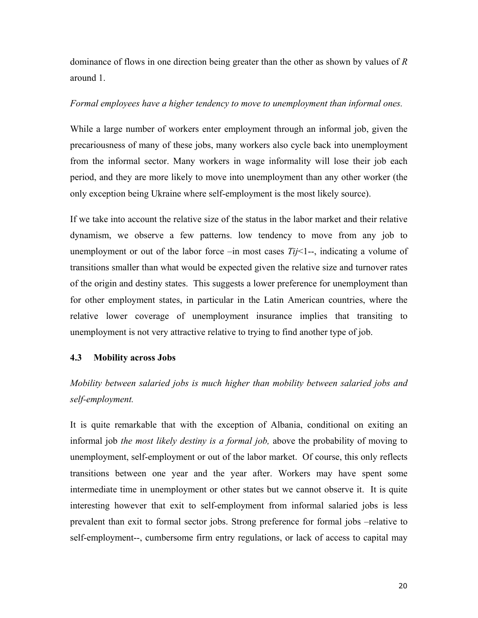dominance of flows in one direction being greater than the other as shown by values of *R* around 1.

### *Formal employees have a higher tendency to move to unemployment than informal ones.*

While a large number of workers enter employment through an informal job, given the precariousness of many of these jobs, many workers also cycle back into unemployment from the informal sector. Many workers in wage informality will lose their job each period, and they are more likely to move into unemployment than any other worker (the only exception being Ukraine where self-employment is the most likely source).

If we take into account the relative size of the status in the labor market and their relative dynamism, we observe a few patterns. low tendency to move from any job to unemployment or out of the labor force –in most cases *Tij*<1--, indicating a volume of transitions smaller than what would be expected given the relative size and turnover rates of the origin and destiny states. This suggests a lower preference for unemployment than for other employment states, in particular in the Latin American countries, where the relative lower coverage of unemployment insurance implies that transiting to unemployment is not very attractive relative to trying to find another type of job.

### **4.3 Mobility across Jobs**

*Mobility between salaried jobs is much higher than mobility between salaried jobs and self-employment.* 

It is quite remarkable that with the exception of Albania, conditional on exiting an informal job *the most likely destiny is a formal job,* above the probability of moving to unemployment, self-employment or out of the labor market. Of course, this only reflects transitions between one year and the year after. Workers may have spent some intermediate time in unemployment or other states but we cannot observe it. It is quite interesting however that exit to self-employment from informal salaried jobs is less prevalent than exit to formal sector jobs. Strong preference for formal jobs –relative to self-employment--, cumbersome firm entry regulations, or lack of access to capital may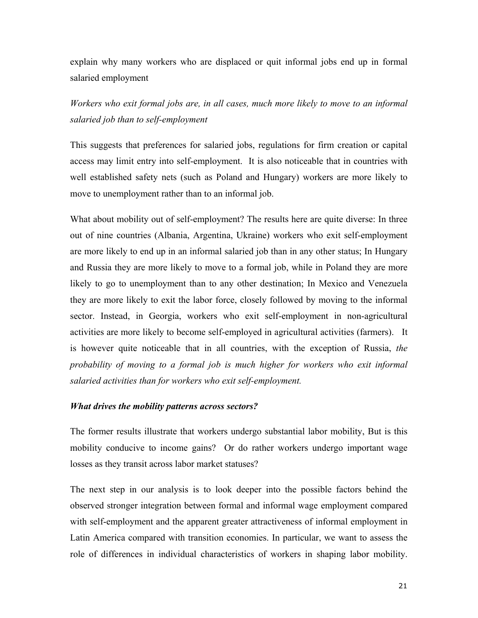explain why many workers who are displaced or quit informal jobs end up in formal salaried employment

*Workers who exit formal jobs are, in all cases, much more likely to move to an informal salaried job than to self-employment* 

This suggests that preferences for salaried jobs, regulations for firm creation or capital access may limit entry into self-employment. It is also noticeable that in countries with well established safety nets (such as Poland and Hungary) workers are more likely to move to unemployment rather than to an informal job.

What about mobility out of self-employment? The results here are quite diverse: In three out of nine countries (Albania, Argentina, Ukraine) workers who exit self-employment are more likely to end up in an informal salaried job than in any other status; In Hungary and Russia they are more likely to move to a formal job, while in Poland they are more likely to go to unemployment than to any other destination; In Mexico and Venezuela they are more likely to exit the labor force, closely followed by moving to the informal sector. Instead, in Georgia, workers who exit self-employment in non-agricultural activities are more likely to become self-employed in agricultural activities (farmers). It is however quite noticeable that in all countries, with the exception of Russia, *the probability of moving to a formal job is much higher for workers who exit informal salaried activities than for workers who exit self-employment.*

#### *What drives the mobility patterns across sectors?*

The former results illustrate that workers undergo substantial labor mobility, But is this mobility conducive to income gains? Or do rather workers undergo important wage losses as they transit across labor market statuses?

The next step in our analysis is to look deeper into the possible factors behind the observed stronger integration between formal and informal wage employment compared with self-employment and the apparent greater attractiveness of informal employment in Latin America compared with transition economies. In particular, we want to assess the role of differences in individual characteristics of workers in shaping labor mobility.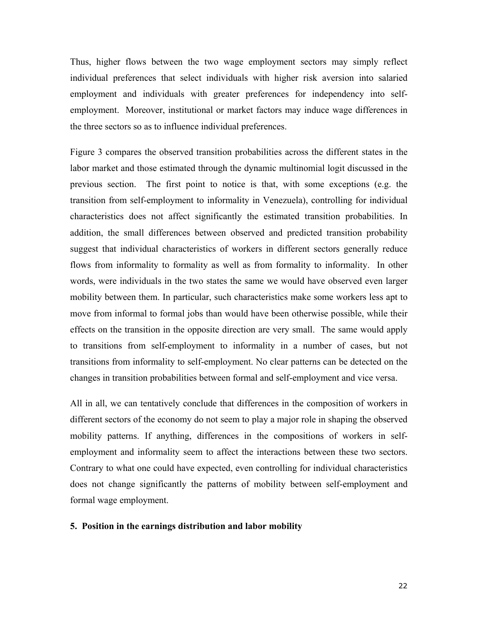Thus, higher flows between the two wage employment sectors may simply reflect individual preferences that select individuals with higher risk aversion into salaried employment and individuals with greater preferences for independency into selfemployment. Moreover, institutional or market factors may induce wage differences in the three sectors so as to influence individual preferences.

Figure 3 compares the observed transition probabilities across the different states in the labor market and those estimated through the dynamic multinomial logit discussed in the previous section. The first point to notice is that, with some exceptions (e.g. the transition from self-employment to informality in Venezuela), controlling for individual characteristics does not affect significantly the estimated transition probabilities. In addition, the small differences between observed and predicted transition probability suggest that individual characteristics of workers in different sectors generally reduce flows from informality to formality as well as from formality to informality. In other words, were individuals in the two states the same we would have observed even larger mobility between them. In particular, such characteristics make some workers less apt to move from informal to formal jobs than would have been otherwise possible, while their effects on the transition in the opposite direction are very small. The same would apply to transitions from self-employment to informality in a number of cases, but not transitions from informality to self-employment. No clear patterns can be detected on the changes in transition probabilities between formal and self-employment and vice versa.

All in all, we can tentatively conclude that differences in the composition of workers in different sectors of the economy do not seem to play a major role in shaping the observed mobility patterns. If anything, differences in the compositions of workers in selfemployment and informality seem to affect the interactions between these two sectors. Contrary to what one could have expected, even controlling for individual characteristics does not change significantly the patterns of mobility between self-employment and formal wage employment.

#### **5. Position in the earnings distribution and labor mobility**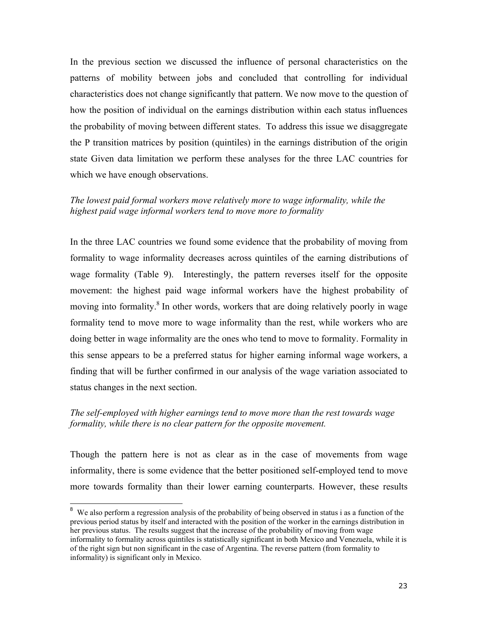In the previous section we discussed the influence of personal characteristics on the patterns of mobility between jobs and concluded that controlling for individual characteristics does not change significantly that pattern. We now move to the question of how the position of individual on the earnings distribution within each status influences the probability of moving between different states. To address this issue we disaggregate the P transition matrices by position (quintiles) in the earnings distribution of the origin state Given data limitation we perform these analyses for the three LAC countries for which we have enough observations.

## *The lowest paid formal workers move relatively more to wage informality, while the highest paid wage informal workers tend to move more to formality*

In the three LAC countries we found some evidence that the probability of moving from formality to wage informality decreases across quintiles of the earning distributions of wage formality (Table 9). Interestingly, the pattern reverses itself for the opposite movement: the highest paid wage informal workers have the highest probability of moving into formality.<sup>8</sup> In other words, workers that are doing relatively poorly in wage formality tend to move more to wage informality than the rest, while workers who are doing better in wage informality are the ones who tend to move to formality. Formality in this sense appears to be a preferred status for higher earning informal wage workers, a finding that will be further confirmed in our analysis of the wage variation associated to status changes in the next section.

## *The self-employed with higher earnings tend to move more than the rest towards wage formality, while there is no clear pattern for the opposite movement.*

Though the pattern here is not as clear as in the case of movements from wage informality, there is some evidence that the better positioned self-employed tend to move more towards formality than their lower earning counterparts. However, these results

 $\overline{a}$ 

<sup>&</sup>lt;sup>8</sup> We also perform a regression analysis of the probability of being observed in status i as a function of the previous period status by itself and interacted with the position of the worker in the earnings distribution in her previous status. The results suggest that the increase of the probability of moving from wage informality to formality across quintiles is statistically significant in both Mexico and Venezuela, while it is of the right sign but non significant in the case of Argentina. The reverse pattern (from formality to informality) is significant only in Mexico.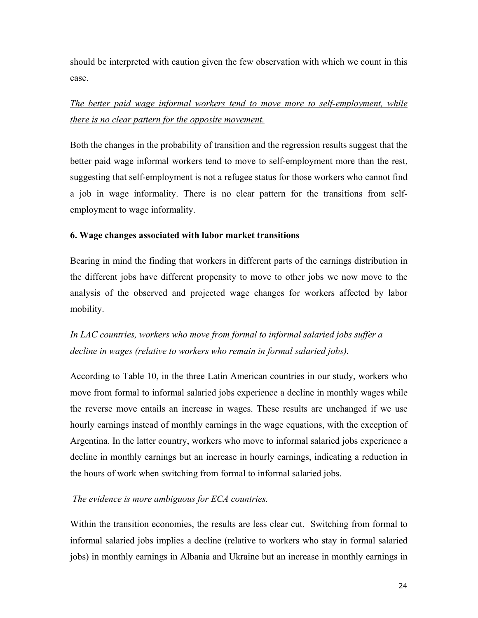should be interpreted with caution given the few observation with which we count in this case.

*The better paid wage informal workers tend to move more to self-employment, while there is no clear pattern for the opposite movement.*

Both the changes in the probability of transition and the regression results suggest that the better paid wage informal workers tend to move to self-employment more than the rest, suggesting that self-employment is not a refugee status for those workers who cannot find a job in wage informality. There is no clear pattern for the transitions from selfemployment to wage informality.

## **6. Wage changes associated with labor market transitions**

Bearing in mind the finding that workers in different parts of the earnings distribution in the different jobs have different propensity to move to other jobs we now move to the analysis of the observed and projected wage changes for workers affected by labor mobility.

*In LAC countries, workers who move from formal to informal salaried jobs suffer a decline in wages (relative to workers who remain in formal salaried jobs).* 

According to Table 10, in the three Latin American countries in our study, workers who move from formal to informal salaried jobs experience a decline in monthly wages while the reverse move entails an increase in wages. These results are unchanged if we use hourly earnings instead of monthly earnings in the wage equations, with the exception of Argentina. In the latter country, workers who move to informal salaried jobs experience a decline in monthly earnings but an increase in hourly earnings, indicating a reduction in the hours of work when switching from formal to informal salaried jobs.

## *The evidence is more ambiguous for ECA countries.*

Within the transition economies, the results are less clear cut. Switching from formal to informal salaried jobs implies a decline (relative to workers who stay in formal salaried jobs) in monthly earnings in Albania and Ukraine but an increase in monthly earnings in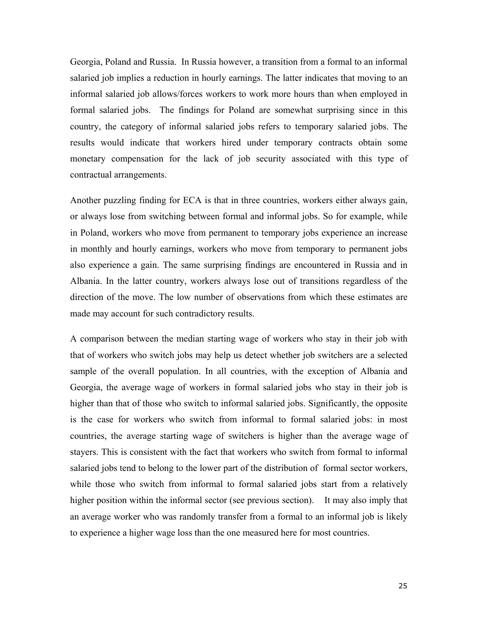Georgia, Poland and Russia. In Russia however, a transition from a formal to an informal salaried job implies a reduction in hourly earnings. The latter indicates that moving to an informal salaried job allows/forces workers to work more hours than when employed in formal salaried jobs. The findings for Poland are somewhat surprising since in this country, the category of informal salaried jobs refers to temporary salaried jobs. The results would indicate that workers hired under temporary contracts obtain some monetary compensation for the lack of job security associated with this type of contractual arrangements.

Another puzzling finding for ECA is that in three countries, workers either always gain, or always lose from switching between formal and informal jobs. So for example, while in Poland, workers who move from permanent to temporary jobs experience an increase in monthly and hourly earnings, workers who move from temporary to permanent jobs also experience a gain. The same surprising findings are encountered in Russia and in Albania. In the latter country, workers always lose out of transitions regardless of the direction of the move. The low number of observations from which these estimates are made may account for such contradictory results.

A comparison between the median starting wage of workers who stay in their job with that of workers who switch jobs may help us detect whether job switchers are a selected sample of the overall population. In all countries, with the exception of Albania and Georgia, the average wage of workers in formal salaried jobs who stay in their job is higher than that of those who switch to informal salaried jobs. Significantly, the opposite is the case for workers who switch from informal to formal salaried jobs: in most countries, the average starting wage of switchers is higher than the average wage of stayers. This is consistent with the fact that workers who switch from formal to informal salaried jobs tend to belong to the lower part of the distribution of formal sector workers, while those who switch from informal to formal salaried jobs start from a relatively higher position within the informal sector (see previous section). It may also imply that an average worker who was randomly transfer from a formal to an informal job is likely to experience a higher wage loss than the one measured here for most countries.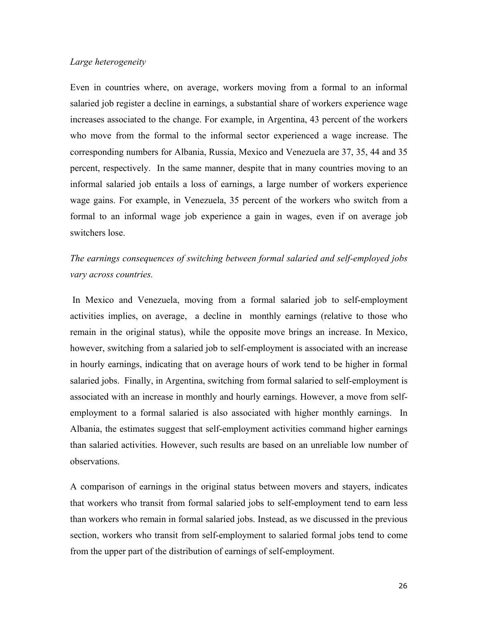### *Large heterogeneity*

Even in countries where, on average, workers moving from a formal to an informal salaried job register a decline in earnings, a substantial share of workers experience wage increases associated to the change. For example, in Argentina, 43 percent of the workers who move from the formal to the informal sector experienced a wage increase. The corresponding numbers for Albania, Russia, Mexico and Venezuela are 37, 35, 44 and 35 percent, respectively. In the same manner, despite that in many countries moving to an informal salaried job entails a loss of earnings, a large number of workers experience wage gains. For example, in Venezuela, 35 percent of the workers who switch from a formal to an informal wage job experience a gain in wages, even if on average job switchers lose.

*The earnings consequences of switching between formal salaried and self-employed jobs vary across countries.*

 In Mexico and Venezuela, moving from a formal salaried job to self-employment activities implies, on average, a decline in monthly earnings (relative to those who remain in the original status), while the opposite move brings an increase. In Mexico, however, switching from a salaried job to self-employment is associated with an increase in hourly earnings, indicating that on average hours of work tend to be higher in formal salaried jobs. Finally, in Argentina, switching from formal salaried to self-employment is associated with an increase in monthly and hourly earnings. However, a move from selfemployment to a formal salaried is also associated with higher monthly earnings. In Albania, the estimates suggest that self-employment activities command higher earnings than salaried activities. However, such results are based on an unreliable low number of observations.

A comparison of earnings in the original status between movers and stayers, indicates that workers who transit from formal salaried jobs to self-employment tend to earn less than workers who remain in formal salaried jobs. Instead, as we discussed in the previous section, workers who transit from self-employment to salaried formal jobs tend to come from the upper part of the distribution of earnings of self-employment.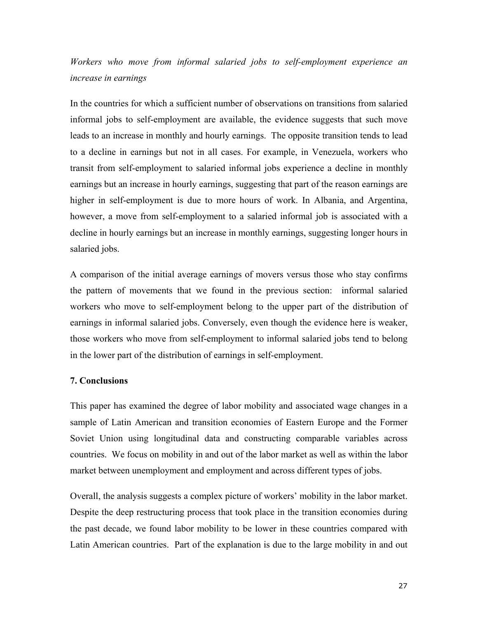*Workers who move from informal salaried jobs to self-employment experience an increase in earnings* 

In the countries for which a sufficient number of observations on transitions from salaried informal jobs to self-employment are available, the evidence suggests that such move leads to an increase in monthly and hourly earnings. The opposite transition tends to lead to a decline in earnings but not in all cases. For example, in Venezuela, workers who transit from self-employment to salaried informal jobs experience a decline in monthly earnings but an increase in hourly earnings, suggesting that part of the reason earnings are higher in self-employment is due to more hours of work. In Albania, and Argentina, however, a move from self-employment to a salaried informal job is associated with a decline in hourly earnings but an increase in monthly earnings, suggesting longer hours in salaried jobs.

A comparison of the initial average earnings of movers versus those who stay confirms the pattern of movements that we found in the previous section: informal salaried workers who move to self-employment belong to the upper part of the distribution of earnings in informal salaried jobs. Conversely, even though the evidence here is weaker, those workers who move from self-employment to informal salaried jobs tend to belong in the lower part of the distribution of earnings in self-employment.

#### **7. Conclusions**

This paper has examined the degree of labor mobility and associated wage changes in a sample of Latin American and transition economies of Eastern Europe and the Former Soviet Union using longitudinal data and constructing comparable variables across countries. We focus on mobility in and out of the labor market as well as within the labor market between unemployment and employment and across different types of jobs.

Overall, the analysis suggests a complex picture of workers' mobility in the labor market. Despite the deep restructuring process that took place in the transition economies during the past decade, we found labor mobility to be lower in these countries compared with Latin American countries. Part of the explanation is due to the large mobility in and out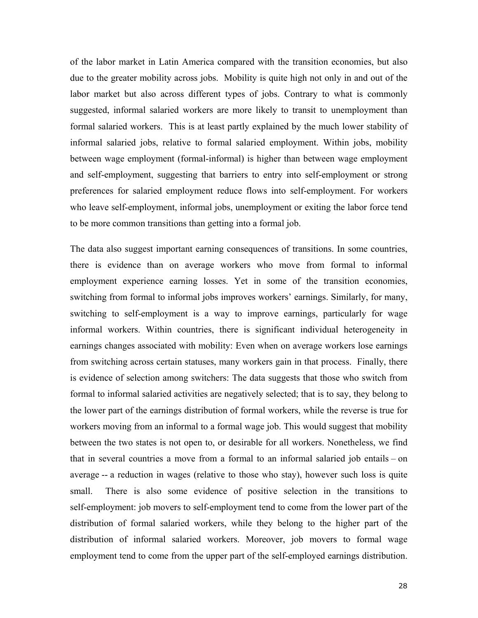of the labor market in Latin America compared with the transition economies, but also due to the greater mobility across jobs. Mobility is quite high not only in and out of the labor market but also across different types of jobs. Contrary to what is commonly suggested, informal salaried workers are more likely to transit to unemployment than formal salaried workers. This is at least partly explained by the much lower stability of informal salaried jobs, relative to formal salaried employment. Within jobs, mobility between wage employment (formal-informal) is higher than between wage employment and self-employment, suggesting that barriers to entry into self-employment or strong preferences for salaried employment reduce flows into self-employment. For workers who leave self-employment, informal jobs, unemployment or exiting the labor force tend to be more common transitions than getting into a formal job.

The data also suggest important earning consequences of transitions. In some countries, there is evidence than on average workers who move from formal to informal employment experience earning losses. Yet in some of the transition economies, switching from formal to informal jobs improves workers' earnings. Similarly, for many, switching to self-employment is a way to improve earnings, particularly for wage informal workers. Within countries, there is significant individual heterogeneity in earnings changes associated with mobility: Even when on average workers lose earnings from switching across certain statuses, many workers gain in that process. Finally, there is evidence of selection among switchers: The data suggests that those who switch from formal to informal salaried activities are negatively selected; that is to say, they belong to the lower part of the earnings distribution of formal workers, while the reverse is true for workers moving from an informal to a formal wage job. This would suggest that mobility between the two states is not open to, or desirable for all workers. Nonetheless, we find that in several countries a move from a formal to an informal salaried job entails – on average -- a reduction in wages (relative to those who stay), however such loss is quite small. There is also some evidence of positive selection in the transitions to self-employment: job movers to self-employment tend to come from the lower part of the distribution of formal salaried workers, while they belong to the higher part of the distribution of informal salaried workers. Moreover, job movers to formal wage employment tend to come from the upper part of the self-employed earnings distribution.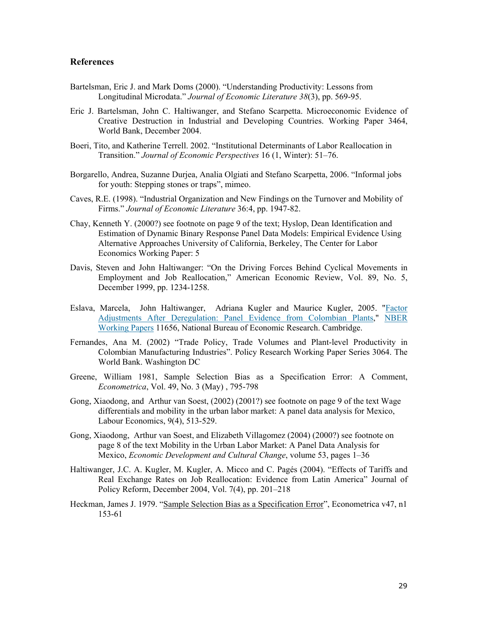#### **References**

- Bartelsman, Eric J. and Mark Doms (2000). "Understanding Productivity: Lessons from Longitudinal Microdata." *Journal of Economic Literature 38*(3), pp. 569-95.
- Eric J. Bartelsman, John C. Haltiwanger, and Stefano Scarpetta. Microeconomic Evidence of Creative Destruction in Industrial and Developing Countries. Working Paper 3464, World Bank, December 2004.
- Boeri, Tito, and Katherine Terrell. 2002. "Institutional Determinants of Labor Reallocation in Transition." *Journal of Economic Perspectives* 16 (1, Winter): 51–76.
- Borgarello, Andrea, Suzanne Durjea, Analia Olgiati and Stefano Scarpetta, 2006. "Informal jobs for youth: Stepping stones or traps", mimeo.
- Caves, R.E. (1998). "Industrial Organization and New Findings on the Turnover and Mobility of Firms." *Journal of Economic Literature* 36:4, pp. 1947-82.
- Chay, Kenneth Y. (2000?) see footnote on page 9 of the text; Hyslop, Dean Identification and Estimation of Dynamic Binary Response Panel Data Models: Empirical Evidence Using Alternative Approaches University of California, Berkeley, The Center for Labor Economics Working Paper: 5
- Davis, Steven and John Haltiwanger: "On the Driving Forces Behind Cyclical Movements in Employment and Job Reallocation," American Economic Review, Vol. 89, No. 5, December 1999, pp. 1234-1258.
- Eslava, Marcela, John Haltiwanger, Adriana Kugler and Maurice Kugler, 2005. "Factor Adjustments After Deregulation: Panel Evidence from Colombian Plants," NBER Working Papers 11656, National Bureau of Economic Research. Cambridge.
- Fernandes, Ana M. (2002) "Trade Policy, Trade Volumes and Plant-level Productivity in Colombian Manufacturing Industries". Policy Research Working Paper Series 3064. The World Bank. Washington DC
- Greene, William 1981, Sample Selection Bias as a Specification Error: A Comment, *Econometrica*, Vol. 49, No. 3 (May) , 795-798
- Gong, Xiaodong, and Arthur van Soest, (2002) (2001?) see footnote on page 9 of the text Wage differentials and mobility in the urban labor market: A panel data analysis for Mexico, Labour Economics, 9(4), 513-529.
- Gong, Xiaodong, Arthur van Soest, and Elizabeth Villagomez (2004) (2000?) see footnote on page 8 of the text Mobility in the Urban Labor Market: A Panel Data Analysis for Mexico, *Economic Development and Cultural Change*, volume 53, pages 1–36
- Haltiwanger, J.C. A. Kugler, M. Kugler, A. Micco and C. Pagés (2004). "Effects of Tariffs and Real Exchange Rates on Job Reallocation: Evidence from Latin America" Journal of Policy Reform, December 2004, Vol. 7(4), pp. 201–218
- Heckman, James J. 1979. "Sample Selection Bias as a Specification Error", Econometrica v47, n1 153-61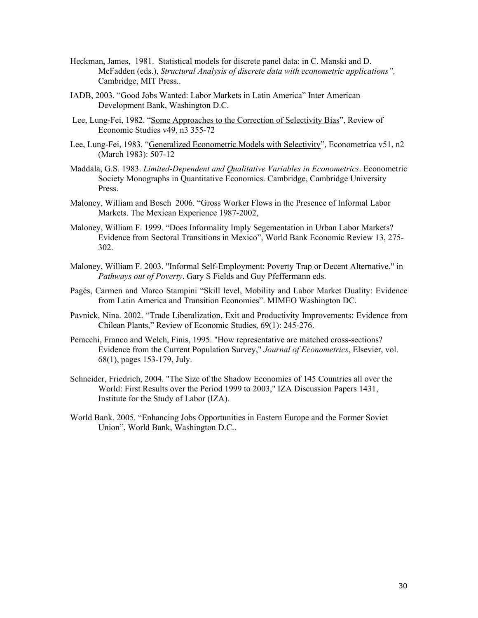- Heckman, James, 1981. Statistical models for discrete panel data: in C. Manski and D. McFadden (eds.), *Structural Analysis of discrete data with econometric applications",*  Cambridge, MIT Press..
- IADB, 2003. "Good Jobs Wanted: Labor Markets in Latin America" Inter American Development Bank, Washington D.C.
- Lee, Lung-Fei, 1982. "Some Approaches to the Correction of Selectivity Bias", Review of Economic Studies v49, n3 355-72
- Lee, Lung-Fei, 1983. "Generalized Econometric Models with Selectivity", Econometrica v51, n2 (March 1983): 507-12
- Maddala, G.S. 1983. *Limited-Dependent and Qualitative Variables in Econometrics*. Econometric Society Monographs in Quantitative Economics. Cambridge, Cambridge University Press.
- Maloney, William and Bosch 2006. "Gross Worker Flows in the Presence of Informal Labor Markets. The Mexican Experience 1987-2002,
- Maloney, William F. 1999. "Does Informality Imply Segementation in Urban Labor Markets? Evidence from Sectoral Transitions in Mexico", World Bank Economic Review 13, 275- 302.
- Maloney, William F. 2003. "Informal Self-Employment: Poverty Trap or Decent Alternative," in *Pathways out of Poverty*. Gary S Fields and Guy Pfeffermann eds.
- Pagés, Carmen and Marco Stampini "Skill level, Mobility and Labor Market Duality: Evidence from Latin America and Transition Economies". MIMEO Washington DC.
- Pavnick, Nina. 2002. "Trade Liberalization, Exit and Productivity Improvements: Evidence from Chilean Plants," Review of Economic Studies, 69(1): 245-276.
- Peracchi, Franco and Welch, Finis, 1995. "How representative are matched cross-sections? Evidence from the Current Population Survey," *Journal of Econometrics*, Elsevier, vol. 68(1), pages 153-179, July.
- Schneider, Friedrich, 2004. "The Size of the Shadow Economies of 145 Countries all over the World: First Results over the Period 1999 to 2003," IZA Discussion Papers 1431, Institute for the Study of Labor (IZA).
- World Bank. 2005. "Enhancing Jobs Opportunities in Eastern Europe and the Former Soviet Union", World Bank, Washington D.C..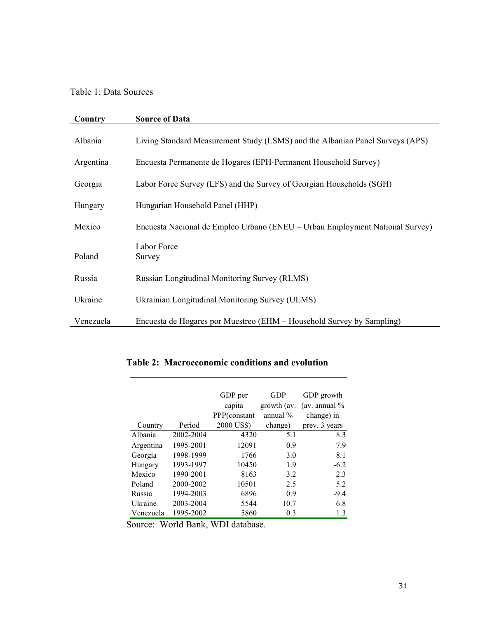# Table 1: Data Sources

| Country   | <b>Source of Data</b>                                                         |
|-----------|-------------------------------------------------------------------------------|
| Albania   | Living Standard Measurement Study (LSMS) and the Albanian Panel Surveys (APS) |
| Argentina | Encuesta Permanente de Hogares (EPH-Permanent Household Survey)               |
| Georgia   | Labor Force Survey (LFS) and the Survey of Georgian Households (SGH)          |
| Hungary   | Hungarian Household Panel (HHP)                                               |
| Mexico    | Encuesta Nacional de Empleo Urbano (ENEU – Urban Employment National Survey)  |
| Poland    | Labor Force<br>Survey                                                         |
| Russia    | <b>Russian Longitudinal Monitoring Survey (RLMS)</b>                          |
| Ukraine   | Ukrainian Longitudinal Monitoring Survey (ULMS)                               |
| Venezuela | Encuesta de Hogares por Muestreo (EHM – Household Survey by Sampling)         |

|           |           | GDP per<br>capita<br>PPP(constant | <b>GDP</b><br>growth (av.<br>annual $\%$ | GDP growth<br>(av. annual $\%$<br>change) in |
|-----------|-----------|-----------------------------------|------------------------------------------|----------------------------------------------|
| Country   | Period    | 2000 US\$)                        | change)                                  | prev. 3 years                                |
| Albania   | 2002-2004 | 4320                              | 5.1                                      | 8.3                                          |
| Argentina | 1995-2001 | 12091                             | 0.9                                      | 7.9                                          |
| Georgia   | 1998-1999 | 1766                              | 3.0                                      | 8.1                                          |
| Hungary   | 1993-1997 | 10450                             | 1.9                                      | $-6.2$                                       |
| Mexico    | 1990-2001 | 8163                              | 3.2                                      | 2.3                                          |
| Poland    | 2000-2002 | 10501                             | 2.5                                      | 5.2                                          |
| Russia    | 1994-2003 | 6896                              | 0.9                                      | $-9.4$                                       |
| Ukraine   | 2003-2004 | 5544                              | 10.7                                     | 6.8                                          |
| Venezuela | 1995-2002 | 5860                              | 0.3                                      | 1.3                                          |

## **Table 2: Macroeconomic conditions and evolution**

Source: World Bank, WDI database.

 $\overline{\phantom{0}}$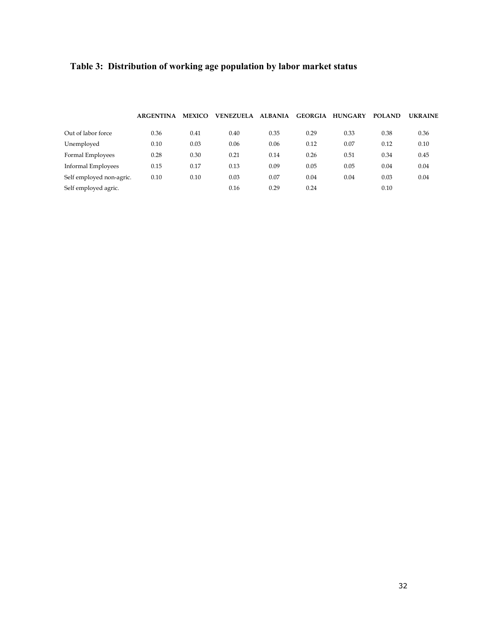# **Table 3: Distribution of working age population by labor market status**

|                           | <b>ARGENTINA</b> | <b>MEXICO</b> | <b>VENEZUELA</b> | <b>ALBANIA</b> | <b>GEORGIA</b> | <b>HUNGARY</b> | <b>POLAND</b> | <b>UKRAINE</b> |
|---------------------------|------------------|---------------|------------------|----------------|----------------|----------------|---------------|----------------|
| Out of labor force        | 0.36             | 0.41          | 0.40             | 0.35           | 0.29           | 0.33           | 0.38          | 0.36           |
| Unemployed                | 0.10             | 0.03          | 0.06             | 0.06           | 0.12           | 0.07           | 0.12          | 0.10           |
| Formal Employees          | 0.28             | 0.30          | 0.21             | 0.14           | 0.26           | 0.51           | 0.34          | 0.45           |
| <b>Informal Employees</b> | 0.15             | 0.17          | 0.13             | 0.09           | 0.05           | 0.05           | 0.04          | 0.04           |
| Self employed non-agric.  | 0.10             | 0.10          | 0.03             | 0.07           | 0.04           | 0.04           | 0.03          | 0.04           |
| Self employed agric.      |                  |               | 0.16             | 0.29           | 0.24           |                | 0.10          |                |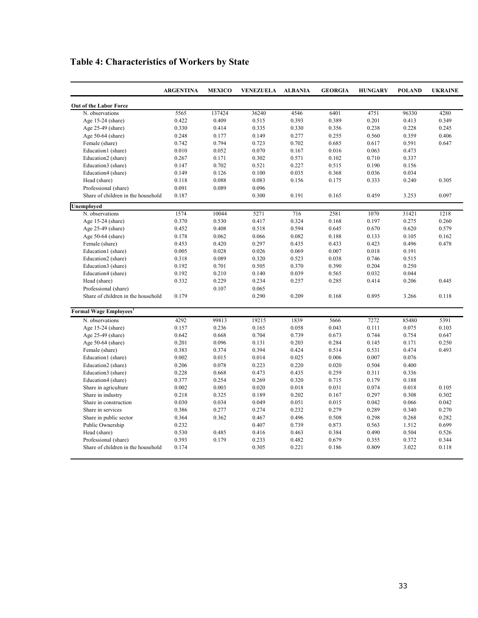|                                    | <b>ARGENTINA</b> | <b>MEXICO</b> | <b>VENEZUELA</b> | <b>ALBANIA</b> | <b>GEORGIA</b> | <b>HUNGARY</b> | <b>POLAND</b> | <b>UKRAINE</b> |
|------------------------------------|------------------|---------------|------------------|----------------|----------------|----------------|---------------|----------------|
| Out of the Labor Force             |                  |               |                  |                |                |                |               |                |
| N. observations                    | 5565             | 137424        | 36240            | 4546           | 6401           | 4751           | 96330         | 4280           |
| Age 15-24 (share)                  | 0.422            | 0.409         | 0.515            | 0.393          | 0.389          | 0.201          | 0.413         | 0.349          |
| Age 25-49 (share)                  | 0.330            | 0.414         | 0.335            | 0.330          | 0.356          | 0.238          | 0.228         | 0.245          |
| Age 50-64 (share)                  | 0.248            | 0.177         | 0.149            | 0.277          | 0.255          | 0.560          | 0.359         | 0.406          |
| Female (share)                     | 0.742            | 0.794         | 0.723            | 0.702          | 0.685          | 0.617          | 0.591         | 0.647          |
| Education1 (share)                 | 0.010            | 0.052         | 0.070            | 0.167          | 0.016          | 0.063          | 0.473         |                |
| Education2 (share)                 | 0.267            | 0.171         | 0.302            | 0.571          | 0.102          | 0.710          | 0.337         |                |
| Education3 (share)                 | 0.147            | 0.702         | 0.521            | 0.227          | 0.515          | 0.190          | 0.156         |                |
| Education4 (share)                 | 0.149            | 0.126         | 0.100            | 0.035          | 0.368          | 0.036          | 0.034         |                |
| Head (share)                       | 0.118            | 0.088         | 0.083            | 0.156          | 0.175          | 0.333          | 0.240         | 0.305          |
| Professional (share)               | 0.091            | 0.089         | 0.096            |                |                |                |               |                |
| Share of children in the household | 0.187            |               | 0.300            | 0.191          | 0.165          | 0.459          | 3.253         | 0.097          |
| Unemploved                         |                  |               |                  |                |                |                |               |                |
| N. observations                    | 1574             | 10044         | 5271             | 716            | 2581           | 1070           | 31421         | 1218           |
| Age 15-24 (share)                  | 0.370            | 0.530         | 0.417            | 0.324          | 0.168          | 0.197          | 0.275         | 0.260          |
| Age 25-49 (share)                  | 0.452            | 0.408         | 0.518            | 0.594          | 0.645          | 0.670          | 0.620         | 0.579          |
| Age 50-64 (share)                  | 0.178            | 0.062         | 0.066            | 0.082          | 0.188          | 0.133          | 0.105         | 0.162          |
| Female (share)                     | 0.453            | 0.420         | 0.297            | 0.435          | 0.433          | 0.423          | 0.496         | 0.478          |
| Education1 (share)                 | 0.005            | 0.028         | 0.026            | 0.069          | 0.007          | 0.018          | 0.191         |                |
| Education2 (share)                 | 0.318            | 0.089         | 0.320            | 0.523          | 0.038          | 0.746          | 0.515         |                |
| Education3 (share)                 | 0.192            | 0.701         | 0.505            | 0.370          | 0.390          | 0.204          | 0.250         |                |
| Education4 (share)                 | 0.192            | 0.210         | 0.140            | 0.039          | 0.565          | 0.032          | 0.044         |                |
| Head (share)                       | 0.332            | 0.229         | 0.234            | 0.257          | 0.285          | 0.414          | 0.206         | 0.445          |
| Professional (share)               |                  | 0.107         | 0.065            |                |                |                |               |                |
| Share of children in the household | 0.179            |               | 0.290            | 0.209          | 0.168          | 0.895          | 3.266         | 0.118          |
| <b>Formal Wage Employees</b>       |                  |               |                  |                |                |                |               |                |
| N. observations                    | 4292             | 99813         | 19215            | 1839           | 5666           | 7272           | 85480         | 5391           |
| Age 15-24 (share)                  | 0.157            | 0.236         | 0.165            | 0.058          | 0.043          | 0.111          | 0.075         | 0.103          |
| Age 25-49 (share)                  | 0.642            | 0.668         | 0.704            | 0.739          | 0.673          | 0.744          | 0.754         | 0.647          |
| Age 50-64 (share)                  | 0.201            | 0.096         | 0.131            | 0.203          | 0.284          | 0.145          | 0.171         | 0.250          |
| Female (share)                     | 0.383            | 0.374         | 0.394            | 0.424          | 0.514          | 0.531          | 0.474         | 0.493          |
| Education1 (share)                 | 0.002            | 0.015         | 0.014            | 0.025          | 0.006          | 0.007          | 0.076         |                |
| Education2 (share)                 | 0.206            | 0.078         | 0.223            | 0.220          | 0.020          | 0.504          | 0.400         |                |
| Education3 (share)                 | 0.228            | 0.668         | 0.473            | 0.435          | 0.259          | 0.311          | 0.336         |                |
| Education4 (share)                 | 0.377            | 0.254         | 0.269            | 0.320          | 0.715          | 0.179          | 0.188         |                |
| Share in agriculture               | 0.002            | 0.003         | 0.020            | 0.018          | 0.031          | 0.074          | 0.018         | 0.105          |
| Share in industry                  | 0.218            | 0.325         | 0.189            | 0.202          | 0.167          | 0.297          | 0.308         | 0.302          |
| Share in construction              | 0.030            | 0.034         | 0.049            | 0.051          | 0.015          | 0.042          | 0.066         | 0.042          |
| Share in services                  | 0.386            | 0.277         | 0.274            | 0.232          | 0.279          | 0.289          | 0.340         | 0.270          |
| Share in public sector             | 0.364            | 0.362         | 0.467            | 0.496          | 0.508          | 0.298          | 0.268         | 0.282          |
| Public Ownership                   | 0.232            |               | 0.407            | 0.739          | 0.873          | 0.563          | 1.512         | 0.699          |
| Head (share)                       | 0.530            | 0.485         | 0.416            | 0.463          | 0.384          | 0.490          | 0.504         | 0.526          |
| Professional (share)               | 0.393            | 0.179         | 0.233            | 0.482          | 0.679          | 0.355          | 0.372         | 0.344          |
| Share of children in the household | 0.174            |               | 0.305            | 0.221          | 0.186          | 0.809          | 3.022         | 0.118          |
|                                    |                  |               |                  |                |                |                |               |                |

# **Table 4: Characteristics of Workers by State**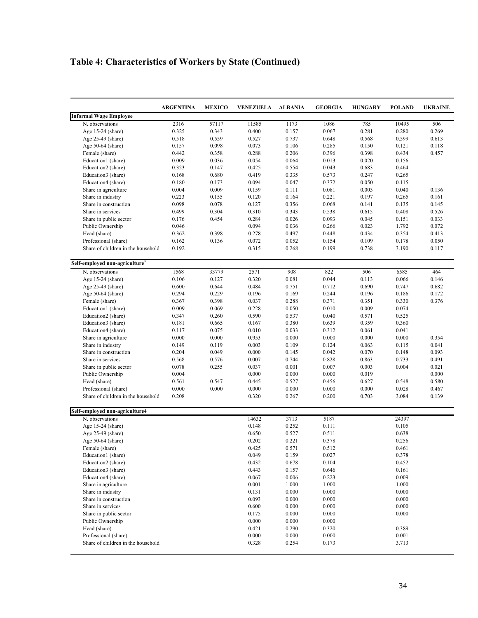# **Table 4: Characteristics of Workers by State (Continued)**

|                                            | <b>ARGENTINA</b> | <b>MEXICO</b> | <b>VENEZUELA</b> | <b>ALBANIA</b> | <b>GEORGIA</b> | <b>HUNGARY</b> | <b>POLAND</b> | <b>UKRAINE</b> |
|--------------------------------------------|------------------|---------------|------------------|----------------|----------------|----------------|---------------|----------------|
| <b>Informal Wage Employee</b>              |                  |               |                  |                |                |                |               |                |
| N. observations                            | 2316             | 57117         | 11585            | 1173           | 1086           | 785            | 10495         | 506            |
| Age 15-24 (share)                          | 0.325            | 0.343         | 0.400            | 0.157          | 0.067          | 0.281          | 0.280         | 0.269          |
| Age 25-49 (share)                          | 0.518            | 0.559         | 0.527            | 0.737          | 0.648          | 0.568          | 0.599         | 0.613          |
| Age $50-64$ (share)                        | 0.157            | 0.098         | 0.073            | 0.106          | 0.285          | 0.150          | 0.121         | 0.118          |
| Female (share)                             | 0.442            | 0.358         | 0.288            | 0.206          | 0.396          | 0.398          | 0.434         | 0.457          |
| Education1 (share)                         | 0.009            | 0.036         | 0.054            | 0.064          | 0.013          | 0.020          | 0.156         |                |
| Education2 (share)                         | 0.323            | 0.147         | 0.425            | 0.554          | 0.043          | 0.683          | 0.464         |                |
| Education3 (share)                         | 0.168            | 0.680         | 0.419            | 0.335          | 0.573          | 0.247          | 0.265         |                |
| Education4 (share)                         | 0.180            | 0.173         | 0.094            | 0.047          | 0.372          | 0.050          | 0.115         |                |
| Share in agriculture                       | 0.004            | 0.009         | 0.159            | 0.111          | 0.081          | 0.003          | 0.040         | 0.136          |
| Share in industry                          | 0.223            | 0.155         | 0.120            | 0.164          | 0.221          | 0.197          | 0.265         | 0.161          |
| Share in construction                      | 0.098            | 0.078         | 0.127            | 0.356          | 0.068          | 0.141          | 0.135         | 0.145          |
| Share in services                          | 0.499            | 0.304         | 0.310            | 0.343          | 0.538          | 0.615          | 0.408         | 0.526          |
| Share in public sector                     | 0.176            | 0.454         | 0.284            | 0.026          | 0.093          | 0.045          | 0.151         | 0.033          |
| Public Ownership                           | 0.046            |               | 0.094            | 0.036          | 0.266          | 0.023          | 1.792         | 0.072          |
| Head (share)                               | 0.362            | 0.398         | 0.278            | 0.497          | 0.448          | 0.434          | 0.354         | 0.413          |
| Professional (share)                       | 0.162            | 0.136         | 0.072            | 0.052          | 0.154          | 0.109          | 0.178         | 0.050          |
| Share of children in the household         | 0.192            |               | 0.315            | 0.268          | 0.199          | 0.738          | 3.190         | 0.117          |
| Self-employed non-agriculture <sup>3</sup> |                  |               |                  |                |                |                |               |                |
| N. observations                            | 1568             | 33779         | 2571             | 908            | 822            | 506            | 6585          | 464            |
| Age 15-24 (share)                          | 0.106            | 0.127         | 0.320            | 0.081          | 0.044          | 0.113          | 0.066         | 0.146          |
| Age 25-49 (share)                          | 0.600            | 0.644         | 0.484            | 0.751          | 0.712          | 0.690          | 0.747         | 0.682          |
| Age 50-64 (share)                          | 0.294            | 0.229         | 0.196            | 0.169          | 0.244          | 0.196          | 0.186         | 0.172          |
| Female (share)                             | 0.367            | 0.398         | 0.037            | 0.288          | 0.371          | 0.351          | 0.330         | 0.376          |
| Education1 (share)                         | 0.009            | 0.069         | 0.228            | 0.050          | 0.010          | 0.009          | 0.074         |                |
| Education2 (share)                         | 0.347            | 0.260         | 0.590            | 0.537          | 0.040          | 0.571          | 0.525         |                |
| Education3 (share)                         | 0.181            | 0.665         | 0.167            | 0.380          | 0.639          | 0.359          | 0.360         |                |
| Education4 (share)                         | 0.117            | 0.075         | 0.010            | 0.033          | 0.312          | 0.061          | 0.041         |                |
| Share in agriculture                       | 0.000            | 0.000         | 0.953            | 0.000          | 0.000          | 0.000          | 0.000         | 0.354          |
| Share in industry                          | 0.149            | 0.119         | 0.003            | 0.109          | 0.124          | 0.063          | 0.115         | 0.041          |
| Share in construction                      | 0.204            | 0.049         | 0.000            | 0.145          | 0.042          | 0.070          | 0.148         | 0.093          |
| Share in services                          | 0.568            | 0.576         | 0.007            | 0.744          | 0.828          | 0.863          | 0.733         | 0.491          |
| Share in public sector                     | 0.078            | 0.255         | 0.037            | 0.001          | 0.007          | 0.003          | 0.004         | 0.021          |
| Public Ownership                           | 0.004            |               | 0.000            | 0.000          | 0.000          | 0.019          |               | 0.000          |
| Head (share)                               | 0.561            | 0.547         | 0.445            | 0.527          | 0.456          | 0.627          | 0.548         | 0.580          |
| Professional (share)                       | 0.000            | 0.000         | 0.000            | 0.000          | 0.000          | 0.000          | 0.028         | 0.467          |
| Share of children in the household         | 0.208            |               | 0.320            | 0.267          | 0.200          | 0.703          | 3.084         | 0.139          |
| Self-employed non-agriculture4             |                  |               |                  |                |                |                |               |                |
| N. observations                            |                  |               | 14632            | 3713           | 5187           |                | 24397         |                |
| Age 15-24 (share)                          |                  |               | 0.148            | 0.252          | 0.111          |                | 0.105         |                |
| Age 25-49 (share)                          |                  |               | 0.650            | 0.527          | 0.511          |                | 0.638         |                |
| Age $50-64$ (share)                        |                  |               | 0.202            | 0.221          | 0.378          |                | 0.256         |                |
| Female (share)                             |                  |               | 0.425            | 0.571          | 0.512          |                | 0.461         |                |
| Education1 (share)                         |                  |               | 0.049            | 0.159          | 0.027          |                | 0.378         |                |
| Education2 (share)                         |                  |               | 0.432            | 0.678          | 0.104          |                | 0.452         |                |
| Education3 (share)                         |                  |               | 0.443            | 0.157          | 0.646          |                | 0.161         |                |
| Education4 (share)                         |                  |               | 0.067            | 0.006          | 0.223          |                | 0.009         |                |
| Share in agriculture                       |                  |               | 0.001            | 1.000          | 1.000          |                | 1.000         |                |
| Share in industry                          |                  |               | 0.131            | 0.000          | 0.000          |                | 0.000         |                |
| Share in construction                      |                  |               | 0.093            | 0.000          | 0.000          |                | 0.000         |                |
| Share in services                          |                  |               | 0.600            | 0.000          | 0.000          |                | 0.000         |                |
| Share in public sector                     |                  |               | 0.175            | 0.000          | 0.000          |                | 0.000         |                |
| Public Ownership                           |                  |               | 0.000            | 0.000          | 0.000          |                |               |                |
| Head (share)                               |                  |               | 0.421            | 0.290          | 0.320          |                | 0.389         |                |
| Professional (share)                       |                  |               | 0.000            | 0.000          | 0.000          |                | 0.001         |                |
| Share of children in the household         |                  |               | 0.328            | 0.254          | 0.173          |                | 3.713         |                |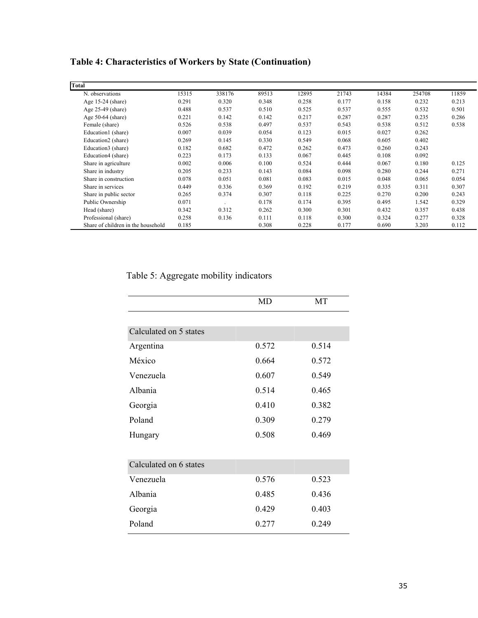# **Table 4: Characteristics of Workers by State (Continuation)**

| Total                              |       |        |       |       |       |       |        |       |
|------------------------------------|-------|--------|-------|-------|-------|-------|--------|-------|
| N. observations                    | 15315 | 338176 | 89513 | 12895 | 21743 | 14384 | 254708 | 11859 |
| Age $15-24$ (share)                | 0.291 | 0.320  | 0.348 | 0.258 | 0.177 | 0.158 | 0.232  | 0.213 |
| Age $25-49$ (share)                | 0.488 | 0.537  | 0.510 | 0.525 | 0.537 | 0.555 | 0.532  | 0.501 |
| Age $50-64$ (share)                | 0.221 | 0.142  | 0.142 | 0.217 | 0.287 | 0.287 | 0.235  | 0.286 |
| Female (share)                     | 0.526 | 0.538  | 0.497 | 0.537 | 0.543 | 0.538 | 0.512  | 0.538 |
| Education1 (share)                 | 0.007 | 0.039  | 0.054 | 0.123 | 0.015 | 0.027 | 0.262  |       |
| Education2 (share)                 | 0.269 | 0.145  | 0.330 | 0.549 | 0.068 | 0.605 | 0.402  |       |
| Education3 (share)                 | 0.182 | 0.682  | 0.472 | 0.262 | 0.473 | 0.260 | 0.243  |       |
| Education4 (share)                 | 0.223 | 0.173  | 0.133 | 0.067 | 0.445 | 0.108 | 0.092  |       |
| Share in agriculture               | 0.002 | 0.006  | 0.100 | 0.524 | 0.444 | 0.067 | 0.180  | 0.125 |
| Share in industry                  | 0.205 | 0.233  | 0.143 | 0.084 | 0.098 | 0.280 | 0.244  | 0.271 |
| Share in construction              | 0.078 | 0.051  | 0.081 | 0.083 | 0.015 | 0.048 | 0.065  | 0.054 |
| Share in services                  | 0.449 | 0.336  | 0.369 | 0.192 | 0.219 | 0.335 | 0.311  | 0.307 |
| Share in public sector             | 0.265 | 0.374  | 0.307 | 0.118 | 0.225 | 0.270 | 0.200  | 0.243 |
| Public Ownership                   | 0.071 |        | 0.178 | 0.174 | 0.395 | 0.495 | 1.542  | 0.329 |
| Head (share)                       | 0.342 | 0.312  | 0.262 | 0.300 | 0.301 | 0.432 | 0.357  | 0.438 |
| Professional (share)               | 0.258 | 0.136  | 0.111 | 0.118 | 0.300 | 0.324 | 0.277  | 0.328 |
| Share of children in the household | 0.185 |        | 0.308 | 0.228 | 0.177 | 0.690 | 3.203  | 0.112 |

# Table 5: Aggregate mobility indicators

|                        | MD    | MT    |
|------------------------|-------|-------|
|                        |       |       |
| Calculated on 5 states |       |       |
| Argentina              | 0.572 | 0.514 |
| México                 | 0.664 | 0.572 |
| Venezuela              | 0.607 | 0.549 |
| Albania                | 0.514 | 0.465 |
| Georgia                | 0.410 | 0.382 |
| Poland                 | 0.309 | 0.279 |
| Hungary                | 0.508 | 0.469 |
|                        |       |       |
| Calculated on 6 states |       |       |
| Venezuela              | 0.576 | 0.523 |
| Albania                | 0.485 | 0.436 |
| Georgia                | 0.429 | 0.403 |
| Poland                 | 0.277 | 0.249 |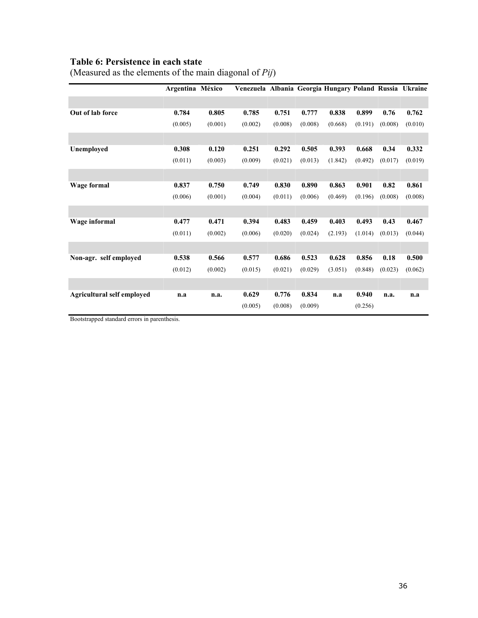## **Table 6: Persistence in each state**

|                            | Argentina México |         | Venezuela Albania Georgia Hungary Poland Russia Ukraine |         |         |         |         |         |         |
|----------------------------|------------------|---------|---------------------------------------------------------|---------|---------|---------|---------|---------|---------|
|                            |                  |         |                                                         |         |         |         |         |         |         |
| Out of lab force           | 0.784            | 0.805   | 0.785                                                   | 0.751   | 0.777   | 0.838   | 0.899   | 0.76    | 0.762   |
|                            | (0.005)          | (0.001) | (0.002)                                                 | (0.008) | (0.008) | (0.668) | (0.191) | (0.008) | (0.010) |
|                            |                  |         |                                                         |         |         |         |         |         |         |
| Unemployed                 | 0.308            | 0.120   | 0.251                                                   | 0.292   | 0.505   | 0.393   | 0.668   | 0.34    | 0.332   |
|                            | (0.011)          | (0.003) | (0.009)                                                 | (0.021) | (0.013) | (1.842) | (0.492) | (0.017) | (0.019) |
|                            |                  |         |                                                         |         |         |         |         |         |         |
| <b>Wage formal</b>         | 0.837            | 0.750   | 0.749                                                   | 0.830   | 0.890   | 0.863   | 0.901   | 0.82    | 0.861   |
|                            | (0.006)          | (0.001) | (0.004)                                                 | (0.011) | (0.006) | (0.469) | (0.196) | (0.008) | (0.008) |
|                            |                  |         |                                                         |         |         |         |         |         |         |
| Wage informal              | 0.477            | 0.471   | 0.394                                                   | 0.483   | 0.459   | 0.403   | 0.493   | 0.43    | 0.467   |
|                            | (0.011)          | (0.002) | (0.006)                                                 | (0.020) | (0.024) | (2.193) | (1.014) | (0.013) | (0.044) |
|                            |                  |         |                                                         |         |         |         |         |         |         |
| Non-agr. self employed     | 0.538            | 0.566   | 0.577                                                   | 0.686   | 0.523   | 0.628   | 0.856   | 0.18    | 0.500   |
|                            | (0.012)          | (0.002) | (0.015)                                                 | (0.021) | (0.029) | (3.051) | (0.848) | (0.023) | (0.062) |
|                            |                  |         |                                                         |         |         |         |         |         |         |
| Agricultural self employed | n.a              | n.a.    | 0.629                                                   | 0.776   | 0.834   | n.a     | 0.940   | n.a.    | n.a     |
|                            |                  |         | (0.005)                                                 | (0.008) | (0.009) |         | (0.256) |         |         |

(Measured as the elements of the main diagonal of *Pij*)

Bootstrapped standard errors in parenthesis.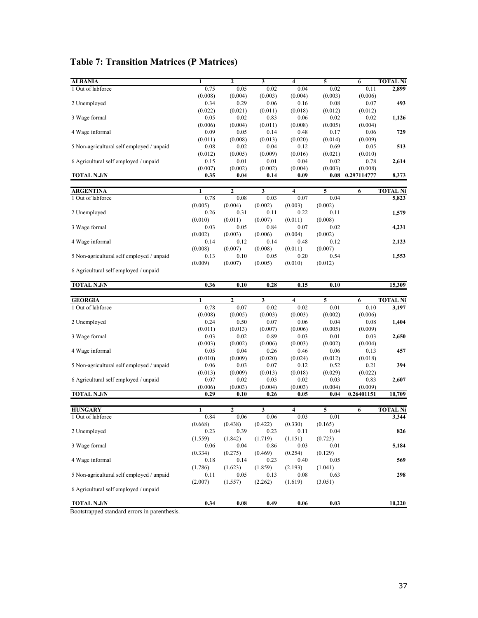# **Table 7: Transition Matrices (P Matrices)**

| <b>ALBANIA</b>                            | $\mathbf{1}$    | $\mathbf{2}$     | 3                       | $\overline{\bf{4}}$     | 5       | 6           | <b>TOTAL Ni</b>                                                   |
|-------------------------------------------|-----------------|------------------|-------------------------|-------------------------|---------|-------------|-------------------------------------------------------------------|
| 1 Out of labforce                         | 0.75            | 0.05             | 0.02                    | 0.04                    | 0.02    | 0.11        | 2,899                                                             |
|                                           | (0.008)         | (0.004)          | (0.003)                 | (0.004)                 | (0.003) | (0.006)     |                                                                   |
| 2 Unemployed                              | 0.34            | 0.29             | 0.06                    | 0.16                    | 0.08    | 0.07        | 493                                                               |
|                                           | (0.022)         | (0.021)          | (0.011)                 | (0.018)                 | (0.012) | (0.012)     |                                                                   |
| 3 Wage formal                             | 0.05            | 0.02             | 0.83                    | 0.06                    | 0.02    | 0.02        | 1,126                                                             |
|                                           | (0.006)         | (0.004)          | (0.011)                 | (0.008)                 | (0.005) | (0.004)     |                                                                   |
| 4 Wage informal                           | 0.09            | 0.05             | 0.14                    | 0.48                    | 0.17    | 0.06        | 729                                                               |
|                                           | (0.011)         | (0.008)          | (0.013)                 | (0.020)                 | (0.014) | (0.009)     |                                                                   |
| 5 Non-agricultural self employed / unpaid | 0.08            | 0.02             | 0.04                    | 0.12                    | 0.69    | 0.05        | 513                                                               |
|                                           | (0.012)         | (0.005)          | (0.009)                 | (0.016)                 | (0.021) | (0.010)     |                                                                   |
| 6 Agricultural self employed / unpaid     | 0.15            | 0.01             | 0.01                    | 0.04                    | 0.02    | 0.78        | 2,614                                                             |
|                                           | (0.007)         | (0.002)          | (0.002)                 | (0.004)                 | (0.003) | (0.008)     |                                                                   |
| <b>TOTAL N.J/N</b>                        | 0.35            | 0.04             | 0.14                    | 0.09                    | 0.08    | 0.297114777 | 8,373                                                             |
|                                           |                 |                  |                         |                         |         |             |                                                                   |
| <b>ARGENTINA</b>                          | 1               | $\mathbf{2}$     | $\overline{\mathbf{3}}$ | 4                       | 5       | 6           | <b>TOTAL Ni</b>                                                   |
| 1 Out of labforce                         | 0.78            | 0.08             | 0.03                    | 0.07                    | 0.04    |             | 5,823                                                             |
|                                           | (0.005)         | (0.004)          | (0.002)                 | (0.003)                 | (0.002) |             |                                                                   |
| 2 Unemployed                              | 0.26            | 0.31             | 0.11                    | 0.22                    | 0.11    |             | 1,579                                                             |
|                                           | (0.010)         | (0.011)          | (0.007)                 | (0.011)                 | (0.008) |             |                                                                   |
| 3 Wage formal                             | 0.03            | 0.05             | 0.84                    | 0.07                    | 0.02    |             | 4,231                                                             |
|                                           | (0.002)         | (0.003)          | (0.006)                 | (0.004)                 | (0.002) |             |                                                                   |
| 4 Wage informal                           | 0.14            | 0.12             | 0.14                    | 0.48                    | 0.12    |             | 2,123                                                             |
|                                           | (0.008)         | (0.007)          | (0.008)                 | (0.011)                 | (0.007) |             |                                                                   |
| 5 Non-agricultural self employed / unpaid | 0.13            | 0.10             | 0.05                    | 0.20                    | 0.54    |             | 1,553                                                             |
|                                           |                 |                  |                         |                         |         |             |                                                                   |
|                                           | (0.009)         | (0.007)          | (0.005)                 | (0.010)                 | (0.012) |             |                                                                   |
| 6 Agricultural self employed / unpaid     |                 |                  |                         |                         |         |             |                                                                   |
| <b>TOTAL N.J/N</b>                        | 0.36            | 0.10             | 0.28                    | 0.15                    | 0.10    |             | 15,309                                                            |
|                                           |                 |                  |                         |                         |         |             |                                                                   |
|                                           |                 |                  |                         |                         |         |             |                                                                   |
| <b>GEORGIA</b>                            | 1               | $\overline{2}$   | 3                       | $\overline{\mathbf{4}}$ | 5       | 6           |                                                                   |
| 1 Out of labforce                         | 0.78            | 0.07             | 0.02                    | 0.02                    | 0.01    | 0.10        |                                                                   |
|                                           | (0.008)         | (0.005)          | (0.003)                 | (0.003)                 | (0.002) | (0.006)     |                                                                   |
| 2 Unemployed                              | 0.24            | 0.50             | 0.07                    | 0.06                    | 0.04    | 0.08        |                                                                   |
|                                           | (0.011)         | (0.013)          | (0.007)                 | (0.006)                 | (0.005) | (0.009)     |                                                                   |
| 3 Wage formal                             | 0.03            | 0.02             | 0.89                    | 0.03                    | 0.01    | 0.03        |                                                                   |
|                                           | (0.003)         | (0.002)          | (0.006)                 | (0.003)                 | (0.002) | (0.004)     |                                                                   |
| 4 Wage informal                           | 0.05            | 0.04             | 0.26                    | 0.46                    | 0.06    | 0.13        |                                                                   |
|                                           | (0.010)         | (0.009)          | (0.020)                 | (0.024)                 | (0.012) | (0.018)     |                                                                   |
| 5 Non-agricultural self employed / unpaid | 0.06            | 0.03             | 0.07                    | 0.12                    | 0.52    | 0.21        |                                                                   |
|                                           | (0.013)         | (0.009)          | (0.013)                 | (0.018)                 | (0.029) | (0.022)     |                                                                   |
| 6 Agricultural self employed / unpaid     | 0.07            | 0.02             | 0.03                    | 0.02                    | 0.03    | 0.83        | <b>TOTAL Ni</b><br>3,197<br>1,404<br>2,650<br>457<br>394<br>2,607 |
|                                           |                 |                  | (0.004)                 |                         | (0.004) | (0.009)     |                                                                   |
| <b>TOTAL N.J/N</b>                        | (0.006)<br>0.29 | (0.003)<br>0.10  | 0.26                    | (0.003)<br>0.05         | 0.04    | 0.26401151  | 10,709                                                            |
|                                           |                 |                  |                         |                         |         |             |                                                                   |
| <b>HUNGARY</b>                            | 1               | $\boldsymbol{2}$ | 3                       | 4                       | 5       | 6           |                                                                   |
| 1 Out of labforce                         | 0.84            | 0.06             | 0.06                    | 0.03                    | 0.01    |             | <b>TOTAL Ni</b><br>3,344                                          |
|                                           | (0.668)         | (0.438)          | (0.422)                 | (0.330)                 | (0.165) |             |                                                                   |
| 2 Unemployed                              | 0.23            | 0.39             | 0.23                    | 0.11                    | 0.04    |             |                                                                   |
|                                           | (1.559)         | (1.842)          | (1.719)                 | (1.151)                 | (0.723) |             |                                                                   |
| 3 Wage formal                             | 0.06            | 0.04             | 0.86                    | 0.03                    | 0.01    |             |                                                                   |
|                                           | (0.334)         | (0.275)          | (0.469)                 | (0.254)                 | (0.129) |             |                                                                   |
| 4 Wage informal                           | 0.18            | 0.14             | 0.23                    | 0.40                    | 0.05    |             | 826<br>5,184<br>569                                               |
|                                           | (1.786)         | (1.623)          | (1.859)                 | (2.193)                 | (1.041) |             |                                                                   |
| 5 Non-agricultural self employed / unpaid | 0.11            | 0.05             | 0.13                    | 0.08                    | 0.63    |             |                                                                   |
|                                           | (2.007)         | (1.557)          | (2.262)                 | (1.619)                 | (3.051) |             | 298                                                               |
| 6 Agricultural self employed / unpaid     |                 |                  |                         |                         |         |             |                                                                   |
| <b>TOTAL N.J/N</b>                        | 0.34            | 0.08             | 0.49                    | 0.06                    | 0.03    |             | 10,220                                                            |

Bootstrapped standard errors in parenthesis.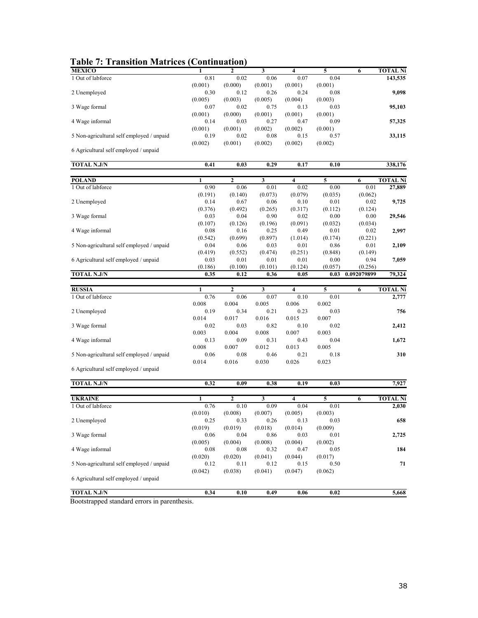| <b>MEXICO</b>                             | 1            | $\mathbf{2}$   | 3       | 4       | 5       | 6           | <b>TOTAL Ni</b> |
|-------------------------------------------|--------------|----------------|---------|---------|---------|-------------|-----------------|
| 1 Out of labforce                         | 0.81         | 0.02           | 0.06    | 0.07    | 0.04    |             | 143,535         |
|                                           | (0.001)      | (0.000)        | (0.001) | (0.001) | (0.001) |             |                 |
| 2 Unemployed                              | 0.30         | 0.12           | 0.26    | 0.24    | 0.08    |             | 9,098           |
|                                           | (0.005)      | (0.003)        | (0.005) | (0.004) | (0.003) |             |                 |
| 3 Wage formal                             | 0.07         | 0.02           | 0.75    | 0.13    | 0.03    |             | 95,103          |
|                                           | (0.001)      | (0.000)        | (0.001) | (0.001) | (0.001) |             |                 |
| 4 Wage informal                           | 0.14         | 0.03           | 0.27    | 0.47    | 0.09    |             | 57,325          |
|                                           | (0.001)      | (0.001)        | (0.002) | (0.002) | (0.001) |             |                 |
| 5 Non-agricultural self employed / unpaid | 0.19         | 0.02           | 0.08    | 0.15    | 0.57    |             | 33,115          |
|                                           | (0.002)      | (0.001)        | (0.002) | (0.002) | (0.002) |             |                 |
| 6 Agricultural self employed / unpaid     |              |                |         |         |         |             |                 |
|                                           |              |                |         |         |         |             |                 |
| <b>TOTAL N.J/N</b>                        | 0.41         | 0.03           | 0.29    | 0.17    | 0.10    |             | 338,176         |
|                                           |              |                |         |         |         |             |                 |
| <b>POLAND</b>                             | $\mathbf{1}$ | $\mathbf{2}$   | 3       | 4       | 5       | 6           | <b>TOTAL Ni</b> |
| 1 Out of labforce                         | 0.90         | 0.06           | 0.01    | 0.02    | 0.00    | 0.01        | 27,889          |
|                                           | (0.191)      | (0.140)        | (0.073) | (0.079) | (0.035) | (0.062)     |                 |
| 2 Unemployed                              | 0.14         | 0.67           | 0.06    | 0.10    | 0.01    | 0.02        | 9,725           |
|                                           | (0.376)      | (0.492)        | (0.265) | (0.317) | (0.112) | (0.124)     |                 |
| 3 Wage formal                             | 0.03         | 0.04           | 0.90    | 0.02    | 0.00    | 0.00        | 29,546          |
|                                           | (0.107)      | (0.126)        | (0.196) | (0.091) | (0.032) | (0.034)     |                 |
| 4 Wage informal                           | 0.08         | 0.16           | 0.25    | 0.49    | 0.01    | 0.02        | 2,997           |
|                                           | (0.542)      | (0.699)        | (0.897) | (1.014) | (0.174) | (0.221)     |                 |
| 5 Non-agricultural self employed / unpaid | 0.04         | 0.06           | 0.03    | 0.01    | 0.86    | 0.01        | 2,109           |
|                                           | (0.419)      | (0.552)        | (0.474) | (0.251) | (0.848) | (0.149)     |                 |
| 6 Agricultural self employed / unpaid     | 0.03         | 0.01           | 0.01    | 0.01    | 0.00    | 0.94        | 7,059           |
|                                           | (0.186)      | (0.100)        | (0.101) | (0.124) | (0.057) | (0.256)     |                 |
| <b>TOTAL N.J/N</b>                        | 0.35         | 0.12           | 0.36    | 0.05    | 0.03    | 0.092079899 | 79,324          |
|                                           |              |                |         |         |         |             |                 |
|                                           |              |                |         |         |         |             |                 |
|                                           | 1            | $\mathbf{2}$   | 3       | 4       |         |             | <b>TOTAL Ni</b> |
| <b>RUSSIA</b>                             |              |                |         |         | 5       | 6           |                 |
| 1 Out of labforce                         | 0.76         | 0.06           | 0.07    | 0.10    | 0.01    |             | 2,777           |
|                                           | 0.008        | 0.004          | 0.005   | 0.006   | 0.002   |             |                 |
| 2 Unemployed                              | 0.19         | 0.34           | 0.21    | 0.23    | 0.03    |             | 756             |
|                                           | 0.014        | 0.017          | 0.016   | 0.015   | 0.007   |             |                 |
| 3 Wage formal                             | 0.02         | 0.03           | 0.82    | 0.10    | 0.02    |             | 2,412           |
|                                           | 0.003        | 0.004          | 0.008   | 0.007   | 0.003   |             |                 |
| 4 Wage informal                           | 0.13         | 0.09           | 0.31    | 0.43    | 0.04    |             | 1,672           |
|                                           | 0.008        | 0.007          | 0.012   | 0.013   | 0.005   |             |                 |
| 5 Non-agricultural self employed / unpaid | 0.06         | 0.08           | 0.46    | 0.21    | 0.18    |             | 310             |
|                                           | 0.014        | 0.016          | 0.030   | 0.026   | 0.023   |             |                 |
| 6 Agricultural self employed / unpaid     |              |                |         |         |         |             |                 |
| TOTAL N.J/N                               | 0.32         | 0.09           | 0.38    | 0.19    | 0.03    |             | 7,927           |
|                                           |              |                |         |         |         |             |                 |
| <b>UKRAINE</b>                            | 1            | $\overline{2}$ | 3       | 4       | 5       | 6           | <b>TOTAL Ni</b> |
| 1 Out of labforce                         | 0.76         | 0.10           | 0.09    | 0.04    | 0.01    |             | 2,030           |
|                                           | (0.010)      | (0.008)        | (0.007) | (0.005) | (0.003) |             |                 |
| 2 Unemployed                              | 0.25         | 0.33           | 0.26    | 0.13    | 0.03    |             | 658             |
|                                           | (0.019)      | (0.019)        | (0.018) | (0.014) | (0.009) |             |                 |
| 3 Wage formal                             | 0.06         | 0.04           | 0.86    | 0.03    | 0.01    |             | 2,725           |
|                                           | (0.005)      | (0.004)        | (0.008) | (0.004) | (0.002) |             |                 |
| 4 Wage informal                           | 0.08         | 0.08           | 0.32    | 0.47    | 0.05    |             |                 |
|                                           | (0.020)      | (0.020)        | (0.041) | (0.044) | (0.017) |             |                 |
| 5 Non-agricultural self employed / unpaid | 0.12         | 0.11           | 0.12    | 0.15    | 0.50    |             | 184<br>71       |
|                                           | (0.042)      | (0.038)        | (0.041) | (0.047) | (0.062) |             |                 |
| 6 Agricultural self employed / unpaid     |              |                |         |         |         |             |                 |
| <b>TOTAL N.J/N</b>                        | 0.34         | 0.10           | 0.49    | 0.06    | 0.02    |             | 5,668           |

Bootstrapped standard errors in parenthesis.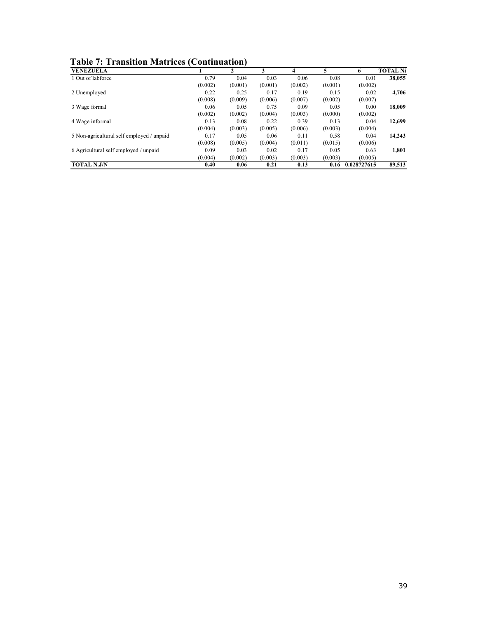| <b>Table 7: Transition Matrices (Continuation)</b> |
|----------------------------------------------------|
|----------------------------------------------------|

| <b>VENEZUELA</b>                          |         | $\mathbf{2}$ | 3       | 4       |         | 6           | <b>TOTAL Ni</b> |
|-------------------------------------------|---------|--------------|---------|---------|---------|-------------|-----------------|
| 1 Out of labforce                         | 0.79    | 0.04         | 0.03    | 0.06    | 0.08    | 0.01        | 38,055          |
|                                           | (0.002) | (0.001)      | (0.001) | (0.002) | (0.001) | (0.002)     |                 |
| 2 Unemployed                              | 0.22    | 0.25         | 0.17    | 0.19    | 0.15    | 0.02        | 4,706           |
|                                           | (0.008) | (0.009)      | (0.006) | (0.007) | (0.002) | (0.007)     |                 |
| 3 Wage formal                             | 0.06    | 0.05         | 0.75    | 0.09    | 0.05    | 0.00        | 18,009          |
|                                           | (0.002) | (0.002)      | (0.004) | (0.003) | (0.000) | (0.002)     |                 |
| 4 Wage informal                           | 0.13    | 0.08         | 0.22    | 0.39    | 0.13    | 0.04        | 12,699          |
|                                           | (0.004) | (0.003)      | (0.005) | (0.006) | (0.003) | (0.004)     |                 |
| 5 Non-agricultural self employed / unpaid | 0.17    | 0.05         | 0.06    | 0.11    | 0.58    | 0.04        | 14,243          |
|                                           | (0.008) | (0.005)      | (0.004) | (0.011) | (0.015) | (0.006)     |                 |
| 6 Agricultural self employed / unpaid     | 0.09    | 0.03         | 0.02    | 0.17    | 0.05    | 0.63        | 1,801           |
|                                           | (0.004) | (0.002)      | (0.003) | (0.003) | (0.003) | (0.005)     |                 |
| <b>TOTAL N.J/N</b>                        | 0.40    | 0.06         | 0.21    | 0.13    | 0.16    | 0.028727615 | 89,513          |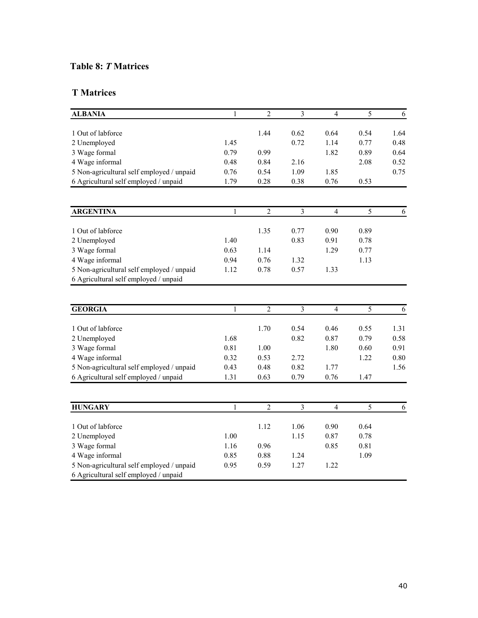# **Table 8:** *T* **Matrices**

## **T Matrices**

| <b>ALBANIA</b>                            | $\mathbf{1}$ | $\overline{2}$ | $\overline{3}$          | $\overline{4}$ | 5              | 6            |
|-------------------------------------------|--------------|----------------|-------------------------|----------------|----------------|--------------|
| 1 Out of labforce                         |              | 1.44           | 0.62                    | 0.64           | 0.54           | 1.64         |
| 2 Unemployed                              | 1.45         |                | 0.72                    | 1.14           | 0.77           | 0.48         |
| 3 Wage formal                             | 0.79         | 0.99           |                         | 1.82           | 0.89           | 0.64         |
| 4 Wage informal                           | 0.48         | 0.84           | 2.16                    |                | 2.08           | 0.52         |
| 5 Non-agricultural self employed / unpaid | 0.76         | 0.54           | 1.09                    | 1.85           |                | 0.75         |
| 6 Agricultural self employed / unpaid     | 1.79         | 0.28           | 0.38                    | 0.76           | 0.53           |              |
|                                           |              |                |                         |                |                |              |
| <b>ARGENTINA</b>                          | 1            | $\overline{c}$ | $\overline{3}$          | $\overline{4}$ | 5              | 6            |
| 1 Out of labforce                         |              | 1.35           | 0.77                    | 0.90           | 0.89           |              |
| 2 Unemployed                              | 1.40         |                | 0.83                    | 0.91           | 0.78           |              |
| 3 Wage formal                             | 0.63         | 1.14           |                         | 1.29           | 0.77           |              |
| 4 Wage informal                           | 0.94         | 0.76           | 1.32                    |                | 1.13           |              |
| 5 Non-agricultural self employed / unpaid | 1.12         | 0.78           | 0.57                    | 1.33           |                |              |
| 6 Agricultural self employed / unpaid     |              |                |                         |                |                |              |
|                                           |              |                |                         |                |                |              |
|                                           |              |                |                         |                |                |              |
| <b>GEORGIA</b>                            | $\mathbf{1}$ | $\overline{2}$ | $\overline{\mathbf{3}}$ | $\overline{4}$ | $\overline{5}$ | 6            |
|                                           |              |                |                         |                |                |              |
| 1 Out of labforce                         |              | 1.70           | 0.54                    | 0.46           | 0.55           | 1.31         |
| 2 Unemployed                              | 1.68<br>0.81 | 1.00           | 0.82                    | 0.87<br>1.80   | 0.79<br>0.60   | 0.58<br>0.91 |
| 3 Wage formal<br>4 Wage informal          | 0.32         | 0.53           | 2.72                    |                | 1.22           | 0.80         |
| 5 Non-agricultural self employed / unpaid | 0.43         | 0.48           | 0.82                    | 1.77           |                | 1.56         |
| 6 Agricultural self employed / unpaid     | 1.31         | 0.63           | 0.79                    | 0.76           | 1.47           |              |
|                                           |              |                |                         |                |                |              |
| <b>HUNGARY</b>                            | $\mathbf{1}$ | $\overline{2}$ | $\overline{3}$          | $\overline{4}$ | $\overline{5}$ | 6            |
|                                           |              |                |                         |                |                |              |
| 1 Out of labforce                         |              | 1.12           | 1.06                    | 0.90           | 0.64           |              |
| 2 Unemployed                              | 1.00         |                | 1.15                    | 0.87           | 0.78           |              |
| 3 Wage formal                             | 1.16         | 0.96           |                         | 0.85           | 0.81           |              |
| 4 Wage informal                           | 0.85         | 0.88           | 1.24                    |                | 1.09           |              |
| 5 Non-agricultural self employed / unpaid | 0.95         | 0.59           | 1.27                    | 1.22           |                |              |
| 6 Agricultural self employed / unpaid     |              |                |                         |                |                |              |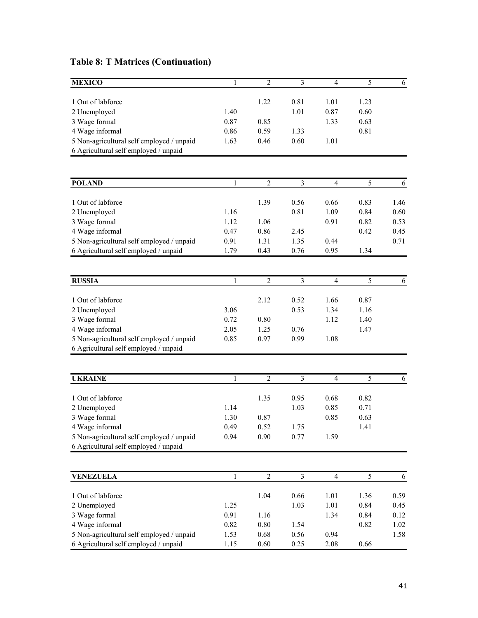| <b>MEXICO</b>                                                                      | 1            | $\overline{2}$ | 3                       | $\overline{4}$ | $\overline{5}$ | $\epsilon$ |
|------------------------------------------------------------------------------------|--------------|----------------|-------------------------|----------------|----------------|------------|
| 1 Out of labforce                                                                  |              | 1.22           |                         |                |                |            |
| 2 Unemployed                                                                       | 1.40         |                | 0.81<br>1.01            | 1.01<br>0.87   | 1.23<br>0.60   |            |
| 3 Wage formal                                                                      | 0.87         | 0.85           |                         | 1.33           | 0.63           |            |
| 4 Wage informal                                                                    | 0.86         | 0.59           | 1.33                    |                | 0.81           |            |
| 5 Non-agricultural self employed / unpaid                                          | 1.63         | 0.46           | 0.60                    | 1.01           |                |            |
| 6 Agricultural self employed / unpaid                                              |              |                |                         |                |                |            |
|                                                                                    |              |                |                         |                |                |            |
| <b>POLAND</b>                                                                      | 1            | $\overline{2}$ | 3                       | $\overline{4}$ | 5              | 6          |
|                                                                                    |              |                |                         |                |                |            |
| 1 Out of labforce                                                                  |              | 1.39           | 0.56                    | 0.66           | 0.83           | 1.46       |
| 2 Unemployed                                                                       | 1.16         |                | 0.81                    | 1.09           | 0.84           | 0.60       |
| 3 Wage formal                                                                      | 1.12         | 1.06           |                         | 0.91           | 0.82           | 0.53       |
| 4 Wage informal                                                                    | 0.47         | 0.86           | 2.45                    |                | 0.42           | 0.45       |
| 5 Non-agricultural self employed / unpaid                                          | 0.91         | 1.31           | 1.35                    | 0.44           |                | 0.71       |
| 6 Agricultural self employed / unpaid                                              | 1.79         | 0.43           | 0.76                    | 0.95           | 1.34           |            |
|                                                                                    |              |                |                         |                |                |            |
| <b>RUSSIA</b>                                                                      | 1            | $\overline{2}$ | $\overline{\mathbf{3}}$ | $\overline{4}$ | 5              | 6          |
| 1 Out of labforce                                                                  |              | 2.12           | 0.52                    | 1.66           | 0.87           |            |
| 2 Unemployed                                                                       | 3.06         |                | 0.53                    | 1.34           | 1.16           |            |
| 3 Wage formal                                                                      | 0.72         | 0.80           |                         | 1.12           | 1.40           |            |
| 4 Wage informal                                                                    | 2.05         | 1.25           | 0.76                    |                | 1.47           |            |
| 5 Non-agricultural self employed / unpaid                                          | 0.85         | 0.97           | 0.99                    | 1.08           |                |            |
| 6 Agricultural self employed / unpaid                                              |              |                |                         |                |                |            |
|                                                                                    |              |                |                         |                |                |            |
| <b>UKRAINE</b>                                                                     | 1            | $\overline{2}$ | $\overline{3}$          | $\overline{4}$ | 5              | 6          |
|                                                                                    |              |                |                         |                |                |            |
| 1 Out of labforce                                                                  |              | 1.35           | 0.95                    | 0.68           | 0.82           |            |
| 2 Unemployed                                                                       | 1.14         |                | 1.03                    | 0.85           | 0.71           |            |
| 3 Wage formal                                                                      | 1.30         | 0.87           |                         | 0.85           | 0.63           |            |
| 4 Wage informal                                                                    | 0.49         | 0.52           | 1.75                    |                | 1.41           |            |
| 5 Non-agricultural self employed / unpaid<br>6 Agricultural self employed / unpaid | 0.94         | 0.90           | 0.77                    | 1.59           |                |            |
|                                                                                    |              |                |                         |                |                |            |
| <b>VENEZUELA</b>                                                                   | $\mathbf{1}$ | $\overline{2}$ | $\mathfrak{Z}$          | $\overline{4}$ | $\mathfrak s$  | 6          |
|                                                                                    |              |                |                         |                |                |            |
| 1 Out of labforce                                                                  |              | 1.04           | 0.66                    | 1.01           | 1.36           | 0.59       |
| 2 Unemployed                                                                       | 1.25         |                | 1.03                    | 1.01           | 0.84           | 0.45       |
| 3 Wage formal                                                                      | 0.91         | 1.16           |                         | 1.34           | 0.84           | 0.12       |
| 4 Wage informal                                                                    | 0.82         | 0.80           | 1.54                    |                | 0.82           | 1.02       |
| 5 Non-agricultural self employed / unpaid                                          | 1.53         | 0.68           | 0.56                    | 0.94           |                | 1.58       |
| 6 Agricultural self employed / unpaid                                              | 1.15         | 0.60           | 0.25                    | 2.08           | 0.66           |            |

# **Table 8: T Matrices (Continuation)**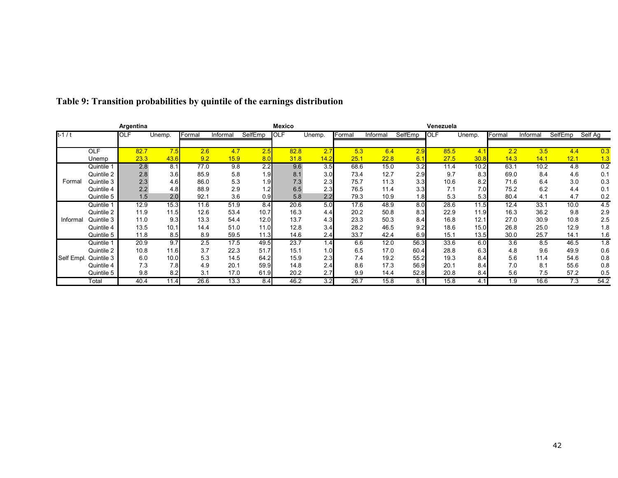|            |            | Argentina  |                  |        |          |         | <b>Mexico</b> |        |        |          |                  | Venezuela  |        |        |          |         |         |
|------------|------------|------------|------------------|--------|----------|---------|---------------|--------|--------|----------|------------------|------------|--------|--------|----------|---------|---------|
| $t - 1/t$  |            | <b>OLF</b> | Unemp.           | Formal | Informal | SelfEmp | <b>OLF</b>    | Unemp. | Formal | Informal | SelfEmp          | <b>OLF</b> | Unemp. | Formal | Informal | SelfEmp | Self Aq |
|            |            |            |                  |        |          |         |               |        |        |          |                  |            |        |        |          |         |         |
|            | <b>OLF</b> | 82.7       | 7.5              | 2.6    | 4.7      | 2.5     | 82.8          | 2.7    | 5.3    | 6.4      | 2.9              | 85.5       | 4.1    | 2.2    | 3.5      | 4.4     | 0.3     |
|            | Unemp      | 23.3       | 43.6             | 9.2    | 15.9     | 8.0     | 31.8          | 14.2   | 25.1   | 22.8     | 6.1              | 27.5       | 30.8   | 14.3   | 14.1     | 12.1    | 1.3     |
|            | Quintile 1 | 2.8        | 8.1              | 77.0   | 9.8      | 2.2     | 9.6           | 3.5    | 68.6   | 15.0     | 3.2              | 11.4       | 10.2   | 63.1   | 10.2     | 4.8     | 0.2     |
|            | Quintile 2 | 2.8        | 3.6              | 85.9   | 5.8      | 1.9     | 8.1           | 3.0    | 73.4   | 12.7     | 2.9              | 9.7        | 8.3    | 69.0   | 8.4      | 4.6     | 0.1     |
| Formal     | Quintile 3 | 2.3        | 4.6              | 86.0   | 5.3      | 1.9     | 7.3           | 2.3    | 75.7   | 11.3     | 3.3 <sub>l</sub> | 10.6       | 8.2    | 71.6   | 6.4      | 3.0     | 0.3     |
|            | Quintile 4 | 2.2        | 4.8              | 88.9   | 2.9      | 1.2     | 6.5           | 2.3    | 76.5   | 11.4     | 3.3              | 7.1        | 7.0    | 75.2   | 6.2      | 4.4     | 0.1     |
|            | Quintile 5 | 1.5        | 2.0 <sub>1</sub> | 92.1   | 3.6      | 0.9     | 5.8           | 2.2    | 79.3   | 10.9     | 1.8              | 5.3        | 5.3    | 80.4   | 4.1      | 4.7     | 0.2     |
|            | Quintile 1 | 12.9       | 15.3             | 11.6   | 51.9     | 8.4     | 20.6          | 5.0    | 17.6   | 48.9     | 8.0              | 28.6       | 11.5   | 12.4   | 33.1     | 10.0    | 4.5     |
|            | Quintile 2 | 11.9       | 11.5             | 12.6   | 53.4     | 10.7    | 16.3          | 4.4    | 20.2   | 50.8     | 8.3              | 22.9       | 11.9   | 16.3   | 36.2     | 9.8     | 2.9     |
| Informal   | Quintile 3 | 11.0       | 9.3              | 13.3   | 54.4     | 12.0    | 13.7          | 4.3    | 23.3   | 50.3     | 8.4              | 16.8       | 12.1   | 27.0   | 30.9     | 10.8    | 2.5     |
|            | Quintile 4 | 13.5       | 10.1             | 14.4   | 51.0     | 11.0    | 12.8          | 3.4    | 28.2   | 46.5     | 9.2              | 18.6       | 15.0   | 26.8   | 25.0     | 12.9    | 1.8     |
|            | Quintile 5 | 11.8       | 8.5              | 8.9    | 59.5     | 11.3    | 14.6          | 2.4    | 33.7   | 42.4     | 6.9              | 15.1       | 13.5   | 30.0   | 25.7     | 14.1    | 1.6     |
|            | Quintile 1 | 20.9       | 9.7              | 2.5    | 17.5     | 49.5    | 23.7          | 1.4    | 6.6    | 12.0     | 56.3             | 33.6       | 6.0    | 3.6    | 8.5      | 46.5    | 1.8     |
|            | Quintile 2 | 10.8       | 11.6             | 3.7    | 22.3     | 51.7    | 15.1          | 1.0    | 6.5    | 17.0     | 60.4             | 28.8       | 6.3    | 4.8    | 9.6      | 49.9    | 0.6     |
| Self Empl. | Quintile 3 | 6.0        | 10.0             | 5.3    | 14.5     | 64.2    | 15.9          | 2.3    | 7.4    | 19.2     | 55.2             | 19.3       | 8.4    | 5.6    | 11.4     | 54.6    | 0.8     |
|            | Quintile 4 | 7.3        | 7.8              | 4.9    | 20.1     | 59.9    | 14.8          | 2.4    | 8.6    | 17.3     | 56.9             | 20.1       | 8.4    | 7.0    | 8.1      | 55.6    | 0.8     |
|            | Quintile 5 | 9.8        | 8.2              | 3.1    | 17.0     | 61.9    | 20.2          | 2.7    | 9.9    | 14.4     | 52.8             | 20.8       | 8.4    | 5.6    | 7.5      | 57.2    | 0.5     |
|            | Total      | 40.4       | 11.4             | 26.6   | 13.3     | 8.4     | 46.2          | 3.2    | 26.7   | 15.8     | 8.1              | 15.8       | 4.1    | 1.9    | 16.6     | 7.3     | 54.2    |

# **Table 9: Transition probabilities by quintile of the earnings distribution**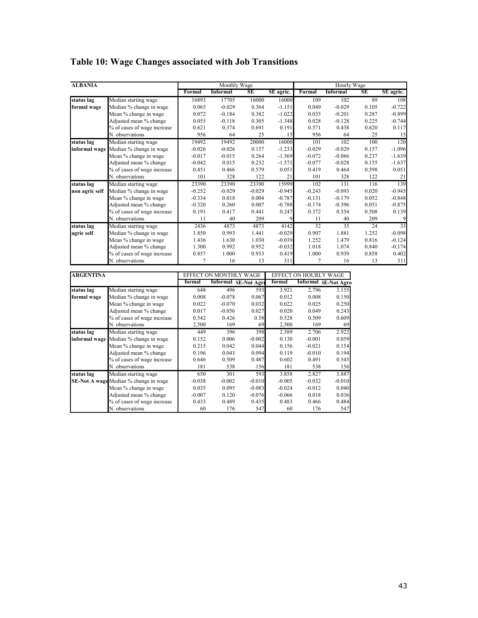| <b>ALBANIA</b> |                                       |          | Monthly Wage    |          |           |          | Hourly Wage     |           |           |
|----------------|---------------------------------------|----------|-----------------|----------|-----------|----------|-----------------|-----------|-----------|
|                |                                       | Formal   | <b>Informal</b> | SE       | SE agric. | Formal   | <b>Informal</b> | <b>SE</b> | SE agric. |
| status lag     | Median starting wage                  | 16893    | 17705           | 16000    | 16000     | 109      | 102             | 89        | 108       |
| formal wage    | Median % change in wage               | 0.065    | $-0.029$        | 0.364    | $-1.151$  | 0.049    | $-0.029$        | 0.105     | $-0.722$  |
|                | Mean % change in wage                 | 0.072    | $-0.184$        | 0.382    | $-1.022$  | 0.035    | $-0.201$        | 0.287     | $-0.899$  |
|                | Adjusted mean % change                | 0.055    | $-0.118$        | 0.305    | $-1.348$  | 0.028    | $-0.128$        | 0.225     | $-0.744$  |
|                | % of cases of wage increase           | 0.621    | 0.374           | 0.691    | 0.191     | 0.571    | 0.438           | 0.620     | 0.117     |
|                | N. observations                       | 956      | 64              | 25       | 15        | 956      | 64              | 25        | 15        |
| status lag     | Median starting wage                  | 19492    | 19492           | 20000    | 16000     | 101      | 102             | 100       | 120       |
|                | informal wage Median % change in wage | $-0.026$ | $-0.026$        | 0.157    | $-1.233$  | $-0.029$ | $-0.029$        | 0.157     | $-1.096$  |
|                | Mean % change in wage                 | $-0.017$ | $-0.015$        | 0.264    | $-1.569$  | $-0.072$ | $-0.066$        | 0.237     | $-1.639$  |
|                | Adjusted mean % change                | $-0.042$ | 0.015           | 0.232    | $-1.571$  | $-0.077$ | $-0.028$        | 0.155     | $-1.637$  |
|                | % of cases of wage increase           | 0.451    | 0.466           | 0.579    | 0.051     | 0.419    | 0.464           | 0.598     | 0.051     |
|                | N. observations                       | 101      | 328             | 122      | 21        | 101      | 328             | 122       | 21        |
| status lag     | Median starting wage                  | 23390    | 23390           | 23390    | 15999     | 102      | 131             | 116       | 139       |
| non agric self | Median % change in wage               | $-0.252$ | $-0.029$        | $-0.029$ | $-0.945$  | $-0.243$ | $-0.093$        | 0.020     | $-0.945$  |
|                | Mean % change in wage                 | $-0.334$ | 0.018           | 0.004    | $-0.787$  | $-0.131$ | $-0.179$        | 0.052     | $-0.848$  |
|                | Adjusted mean % change                | $-0.320$ | 0.260           | 0.007    | $-0.788$  | $-0.174$ | $-0.396$        | 0.051     | $-0.875$  |
|                | % of cases of wage increase           | 0.191    | 0.417           | 0.441    | 0.247     | 0.372    | 0.354           | 0.508     | 0.139     |
|                | N. observations                       | 11       | 40              | 209      | 9         | 11       | 40              | 209       | 9         |
| status lag     | Median starting wage                  | 2436     | 4873            | 4873     | 4142      | 32       | 35              | 24        | 33        |
| agric self     | Median % change in wage               | 1.850    | 0.993           | 1.441    | $-0.029$  | 0.907    | 1.881           | 1.252     | $-0.098$  |
|                | Mean % change in wage                 | 1.436    | 1.630           | 1.030    | $-0.039$  | 1.252    | 1.479           | 0.816     | $-0.124$  |
|                | Adjusted mean % change                | 1.300    | 0.992           | 0.952    | $-0.032$  | 1.018    | 1.074           | 0.840     | $-0.174$  |
|                | % of cases of wage increase           | 0.857    | 1.000           | 0.933    | 0.419     | 1.000    | 0.939           | 0.858     | 0.402     |
|                | N. observations                       |          | 16              | 13       | 311       | 7        | 16              | 13        | 311       |

# **Table 10: Wage Changes associated with Job Transitions**

| <b>ARGENTINA</b> |                                              | <b>EFFECT</b> | 'ON MONTH | W AGE              | <b>EFFECT</b> |          | 'AGE                        |
|------------------|----------------------------------------------|---------------|-----------|--------------------|---------------|----------|-----------------------------|
|                  |                                              | formal        | Informal  | <b>SE-Not Agre</b> | formal        |          | <b>Informal SE-Not Agro</b> |
| status lag       | Median starting wage                         | 648           | 496       | 593                | 3.921         | 2.796    | 3.155                       |
| formal wage      | Median % change in wage                      | 0.008         | $-0.078$  | 0.067              | 0.012         | 0.008    | 0.150                       |
|                  | Mean % change in wage                        | 0.022         | $-0.070$  | 0.032              | 0.022         | 0.025    | 0.250                       |
|                  | Adjusted mean % change                       | 0.017         | $-0.056$  | 0.027              | 0.020         | 0.049    | 0.243                       |
|                  | % of cases of wage increase                  | 0.542         | 0.426     | 0.58               | 0.528         | 0.509    | 0.609                       |
|                  | N. observations                              | 2,500         | 169       | 69                 | 2,500         | 169      | 69                          |
| status lag       | Median starting wage                         | 449           | 396       | 398                | 2.589         | 2.706    | 2.922                       |
|                  | <b>informal wage</b> Median % change in wage | 0.152         | 0.006     | $-0.002$           | 0.130         | $-0.001$ | 0.059                       |
|                  | Mean % change in wage                        | 0.215         | 0.042     | 0.044              | 0.156         | $-0.021$ | 0.154                       |
|                  | Adjusted mean % change                       | 0.196         | 0.043     | 0.094              | 0.119         | $-0.010$ | 0.194                       |
|                  | % of cases of wage increase                  | 0.646         | 0.509     | 0.487              | 0.602         | 0.491    | 0.545                       |
|                  | N. observations                              | 181           | 538       | 156                | 181           | 538      | 156                         |
| status lag       | Median starting wage                         | 650           | 301       | 593                | 3.858         | 2.827    | 3.887                       |
|                  | <b>SE-Not A wage</b> Median % change in wage | $-0.038$      | $-0.002$  | $-0.010$           | $-0.005$      | $-0.032$ | $-0.010$                    |
|                  | Mean % change in wage                        | 0.035         | 0.095     | $-0.083$           | $-0.024$      | $-0.012$ | 0.040                       |
|                  | Adjusted mean % change                       | $-0.007$      | 0.120     | $-0.076$           | $-0.066$      | 0.018    | 0.036                       |
|                  | % of cases of wage increase                  | 0.433         | 0.489     | 0.435              | 0.483         | 0.466    | 0.484                       |
|                  | N. observations                              | 60            | 176       | 547                | 60            | 176      | 547                         |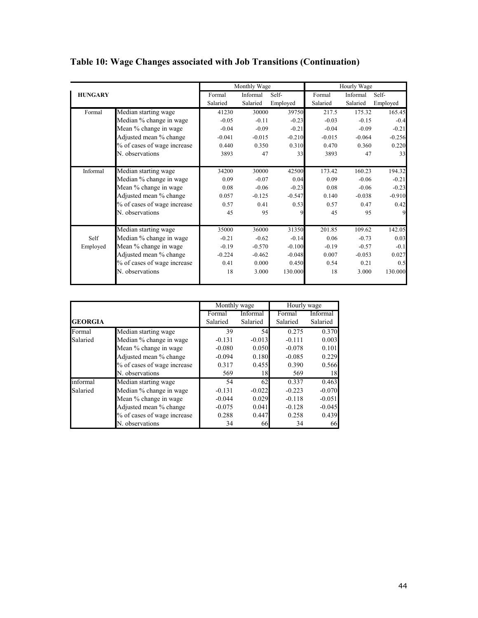|                |                             |          | Monthly Wage |          |          | Hourly Wage |          |
|----------------|-----------------------------|----------|--------------|----------|----------|-------------|----------|
| <b>HUNGARY</b> |                             | Formal   | Informal     | Self-    | Formal   | Informal    | Self-    |
|                |                             | Salaried | Salaried     | Employed | Salaried | Salaried    | Employed |
| Formal         | Median starting wage        | 41230    | 30000        | 39750    | 217.5    | 175.32      | 165.45   |
|                | Median % change in wage     | $-0.05$  | $-0.11$      | $-0.23$  | $-0.03$  | $-0.15$     | $-0.4$   |
|                | Mean % change in wage       | $-0.04$  | $-0.09$      | $-0.21$  | $-0.04$  | $-0.09$     | $-0.21$  |
|                | Adjusted mean % change      | $-0.041$ | $-0.015$     | $-0.210$ | $-0.015$ | $-0.064$    | $-0.256$ |
|                | % of cases of wage increase | 0.440    | 0.350        | 0.310    | 0.470    | 0.360       | 0.220    |
|                | N. observations             | 3893     | 47           | 33       | 3893     | 47          | 33       |
| Informal       | Median starting wage        | 34200    | 30000        | 42500    | 173.42   | 160.23      | 194.32   |
|                | Median % change in wage     | 0.09     | $-0.07$      | 0.04     | 0.09     | $-0.06$     | $-0.21$  |
|                | Mean % change in wage       | 0.08     | $-0.06$      | $-0.23$  | 0.08     | $-0.06$     | $-0.23$  |
|                | Adjusted mean % change      | 0.057    | $-0.125$     | $-0.547$ | 0.140    | $-0.038$    | $-0.910$ |
|                | % of cases of wage increase | 0.57     | 0.41         | 0.53     | 0.57     | 0.47        | 0.42     |
|                | N. observations             | 45       | 95           | 9        | 45       | 95          | 9        |
|                | Median starting wage        | 35000    | 36000        | 31350    | 201.85   | 109.62      | 142.05   |
| Self           | Median % change in wage     | $-0.21$  | $-0.62$      | $-0.14$  | 0.06     | $-0.73$     | 0.03     |
| Employed       | Mean % change in wage       | $-0.19$  | $-0.570$     | $-0.100$ | $-0.19$  | $-0.57$     | $-0.1$   |
|                | Adjusted mean % change      | $-0.224$ | $-0.462$     | $-0.048$ | 0.007    | $-0.053$    | 0.027    |
|                | % of cases of wage increase | 0.41     | 0.000        | 0.450    | 0.54     | 0.21        | 0.5      |
|                | N. observations             | 18       | 3.000        | 130.000  | 18       | 3.000       | 130.000  |

**Table 10: Wage Changes associated with Job Transitions (Continuation)** 

|                |                             | Monthly wage |          | Hourly wage |          |
|----------------|-----------------------------|--------------|----------|-------------|----------|
|                |                             | Formal       | Informal | Formal      | Informal |
| <b>GEORGIA</b> |                             | Salaried     | Salaried | Salaried    | Salaried |
| Formal         | Median starting wage        | 39           | 54       | 0.275       | 0.370    |
| Salaried       | Median % change in wage     | $-0.131$     | $-0.013$ | $-0.111$    | 0.003    |
|                | Mean % change in wage       | $-0.080$     | 0.050    | $-0.078$    | 0.101    |
|                | Adjusted mean % change      | $-0.094$     | 0.180    | $-0.085$    | 0.229    |
|                | % of cases of wage increase | 0.317        | 0.455    | 0.390       | 0.566    |
|                | N. observations             | 569          | 18       | 569         | 18       |
| informal       | Median starting wage        | 54           | 62       | 0.337       | 0.463    |
| Salaried       | Median % change in wage     | $-0.131$     | $-0.022$ | $-0.223$    | $-0.070$ |
|                | Mean % change in wage       | $-0.044$     | 0.029    | $-0.118$    | $-0.051$ |
|                | Adjusted mean % change      | $-0.075$     | 0.041    | $-0.128$    | $-0.045$ |
|                | % of cases of wage increase | 0.288        | 0.447    | 0.258       | 0.439    |
|                | N. observations             | 34           | 66       | 34          | 66       |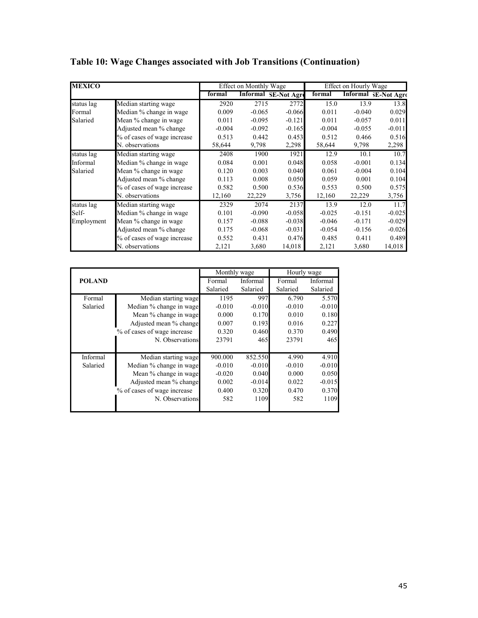| <b>MEXICO</b> |                             |          | <b>Effect on Monthly Wage</b> |                             |          | Effect on Hourly Wage |                             |
|---------------|-----------------------------|----------|-------------------------------|-----------------------------|----------|-----------------------|-----------------------------|
|               |                             | formal   |                               | <b>Informal SE-Not Agre</b> | formal   |                       | <b>Informal 3E-Not Agro</b> |
| status lag    | Median starting wage        | 2920     | 2715                          | 2772                        | 15.0     | 13.9                  | 13.8                        |
| Formal        | Median % change in wage     | 0.009    | $-0.065$                      | $-0.066$                    | 0.011    | $-0.040$              | 0.029                       |
| Salaried      | Mean % change in wage       | 0.011    | $-0.095$                      | $-0.121$                    | 0.011    | $-0.057$              | 0.011                       |
|               | Adjusted mean % change      | $-0.004$ | $-0.092$                      | $-0.165$                    | $-0.004$ | $-0.055$              | $-0.011$                    |
|               | % of cases of wage increase | 0.513    | 0.442                         | 0.453                       | 0.512    | 0.466                 | 0.516                       |
|               | N. observations             | 58,644   | 9,798                         | 2,298                       | 58,644   | 9,798                 | 2,298                       |
| status lag    | Median starting wage        | 2408     | 1900                          | 1921                        | 12.9     | 10.1                  | 10.7                        |
| Informal      | Median % change in wage     | 0.084    | 0.001                         | 0.048                       | 0.058    | $-0.001$              | 0.134                       |
| Salaried      | Mean % change in wage       | 0.120    | 0.003                         | 0.040                       | 0.061    | $-0.004$              | 0.104                       |
|               | Adjusted mean % change      | 0.113    | 0.008                         | 0.050                       | 0.059    | 0.001                 | 0.104                       |
|               | % of cases of wage increase | 0.582    | 0.500                         | 0.536                       | 0.553    | 0.500                 | 0.575                       |
|               | N. observations             | 12,160   | 22,229                        | 3,756                       | 12,160   | 22,229                | 3,756                       |
| status lag    | Median starting wage        | 2329     | 2074                          | 2137                        | 13.9     | 12.0                  | 11.7                        |
| Self-         | Median % change in wage     | 0.101    | $-0.090$                      | $-0.058$                    | $-0.025$ | $-0.151$              | $-0.025$                    |
| Employment    | Mean % change in wage       | 0.157    | $-0.088$                      | $-0.038$                    | $-0.046$ | $-0.171$              | $-0.029$                    |
|               | Adjusted mean % change      | 0.175    | $-0.068$                      | $-0.031$                    | $-0.054$ | $-0.156$              | $-0.026$                    |
|               | % of cases of wage increase | 0.552    | 0.431                         | 0.476                       | 0.485    | 0.411                 | 0.489                       |
|               | N. observations             | 2,121    | 3,680                         | 14,018                      | 2,121    | 3,680                 | 14,018                      |

|  |  |  | Table 10: Wage Changes associated with Job Transitions (Continuation) |  |
|--|--|--|-----------------------------------------------------------------------|--|
|  |  |  |                                                                       |  |

|               |                             | Monthly wage |          | Hourly wage |          |
|---------------|-----------------------------|--------------|----------|-------------|----------|
| <b>POLAND</b> |                             | Formal       | Informal | Formal      | Informal |
|               |                             | Salaried     | Salaried | Salaried    | Salaried |
| Formal        | Median starting wage        | 1195         | 997      | 6.790       | 5.570    |
| Salaried      | Median % change in wage     | $-0.010$     | $-0.010$ | $-0.010$    | $-0.010$ |
|               | Mean % change in wage       | 0.000        | 0.170    | 0.010       | 0.180    |
|               | Adjusted mean % change      | 0.007        | 0.193    | 0.016       | 0.227    |
|               | % of cases of wage increase | 0.320        | 0.460    | 0.370       | 0.490    |
|               | N. Observations             | 23791        | 465      | 23791       | 465      |
|               |                             |              |          |             |          |
| Informal      | Median starting wage        | 900.000      | 852.550  | 4.990       | 4.910    |
| Salaried      | Median % change in wage     | $-0.010$     | $-0.010$ | $-0.010$    | $-0.010$ |
|               | Mean % change in wage       | $-0.020$     | 0.040    | 0.000       | 0.050    |
|               | Adjusted mean % change      | 0.002        | $-0.014$ | 0.022       | $-0.015$ |
|               | % of cases of wage increase | 0.400        | 0.320    | 0.470       | 0.370    |
|               | N. Observations             | 582          | 1109     | 582         | 1109     |
|               |                             |              |          |             |          |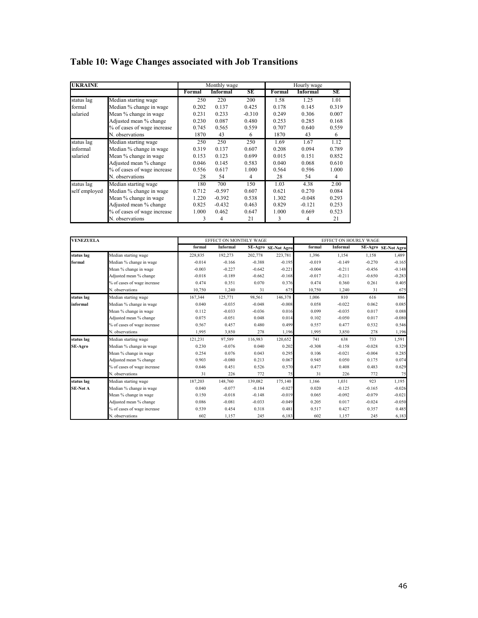| <b>UKRAINE</b> |                             |        | Monthly wage    |          |        | Hourly wage     |       |
|----------------|-----------------------------|--------|-----------------|----------|--------|-----------------|-------|
|                |                             | Formal | <b>Informal</b> | SE       | Formal | <b>Informal</b> | SE    |
| status lag     | Median starting wage        | 250    | 220             | 200      | 1.58   | 1.25            | 1.01  |
| formal         | Median % change in wage     | 0.202  | 0.137           | 0.425    | 0.178  | 0.145           | 0.319 |
| salaried       | Mean % change in wage       | 0.231  | 0.233           | $-0.310$ | 0.249  | 0.306           | 0.007 |
|                | Adjusted mean % change      | 0.230  | 0.087           | 0.480    | 0.253  | 0.285           | 0.168 |
|                | % of cases of wage increase | 0.745  | 0.565           | 0.559    | 0.707  | 0.640           | 0.559 |
|                | N. observations             | 1870   | 43              | 6        | 1870   | 43              | 6     |
| status lag     | Median starting wage        | 250    | 250             | 250      | 1.69   | 1.67            | 1.12  |
| informal       | Median % change in wage     | 0.319  | 0.137           | 0.607    | 0.208  | 0.094           | 0.789 |
| salaried       | Mean % change in wage       | 0.153  | 0.123           | 0.699    | 0.015  | 0.151           | 0.852 |
|                | Adjusted mean % change      | 0.046  | 0.145           | 0.583    | 0.040  | 0.068           | 0.610 |
|                | % of cases of wage increase | 0.556  | 0.617           | 1.000    | 0.564  | 0.596           | 1.000 |
|                | N. observations             | 28     | 54              | 4        | 28     | 54              | 4     |
| status lag     | Median starting wage        | 180    | 700             | 150      | 1.03   | 4.38            | 2.00  |
| self employed  | Median % change in wage     | 0.712  | $-0.597$        | 0.607    | 0.621  | 0.270           | 0.084 |
|                | Mean % change in wage       | 1.220  | $-0.392$        | 0.538    | 1.302  | $-0.048$        | 0.293 |
|                | Adjusted mean % change      | 0.825  | $-0.432$        | 0.463    | 0.829  | $-0.121$        | 0.253 |
|                | % of cases of wage increase | 1.000  | 0.462           | 0.647    | 1.000  | 0.669           | 0.523 |
|                | N. observations             | 3      | 4               | 21       | 3      | 4               | 21    |

# **Table 10: Wage Changes associated with Job Transitions**

| <b>VENEZUELA</b> |                             | EFFECT ON MONTHLY WAGE |          |          |                     | EFFECT ON HOURLY WAGE |                 |          |                     |
|------------------|-----------------------------|------------------------|----------|----------|---------------------|-----------------------|-----------------|----------|---------------------|
|                  |                             | formal                 | Informal |          | SE-Agro SE-Not Agro | formal                | <b>Informal</b> |          | SE-Agro SE-Not Agro |
| status lag       | Median starting wage        | 228,835                | 192,273  | 202,778  | 223,781             | 1,396                 | 1,154           | 1,158    | 1,489               |
| formal           | Median % change in wage     | $-0.014$               | $-0.166$ | $-0.388$ | $-0.195$            | $-0.019$              | $-0.149$        | $-0.270$ | $-0.165$            |
|                  | Mean % change in wage       | $-0.003$               | $-0.227$ | $-0.642$ | $-0.221$            | $-0.004$              | $-0.211$        | $-0.456$ | $-0.148$            |
|                  | Adjusted mean % change      | $-0.018$               | $-0.189$ | $-0.662$ | $-0.168$            | $-0.017$              | $-0.211$        | $-0.650$ | $-0.283$            |
|                  | % of cases of wage increase | 0.474                  | 0.351    | 0.070    | 0.376               | 0.474                 | 0.360           | 0.261    | 0.405               |
|                  | N. observations             | 10,750                 | 1,240    | 31       | 675                 | 10,750                | 1,240           | 31       | 675                 |
| status lag       | Median starting wage        | 167,344                | 125,771  | 98,561   | 146,378             | 1,006                 | 810             | 616      | 886                 |
| informal         | Median % change in wage     | 0.040                  | $-0.035$ | $-0.048$ | $-0.008$            | 0.058                 | $-0.022$        | 0.062    | 0.085               |
|                  | Mean % change in wage       | 0.112                  | $-0.033$ | $-0.036$ | 0.016               | 0.099                 | $-0.035$        | 0.017    | 0.088               |
|                  | Adjusted mean % change      | 0.075                  | $-0.051$ | 0.048    | 0.014               | 0.102                 | $-0.050$        | 0.017    | $-0.080$            |
|                  | % of cases of wage increase | 0.567                  | 0.457    | 0.480    | 0.499               | 0.557                 | 0.477           | 0.532    | 0.546               |
|                  | N. observations             | 1,995                  | 3,850    | 278      | 1,196               | 1,995                 | 3,850           | 278      | 1,196               |
| status lag       | Median starting wage        | 121,231                | 97,589   | 116,983  | 120,652             | 741                   | 638             | 733      | 1,591               |
| SE-Agro          | Median % change in wage     | 0.230                  | $-0.076$ | 0.040    | 0.202               | $-0.308$              | $-0.158$        | $-0.028$ | 0.329               |
|                  | Mean % change in wage       | 0.254                  | 0.076    | 0.043    | 0.295               | 0.106                 | $-0.021$        | $-0.004$ | 0.285               |
|                  | Adjusted mean % change      | 0.903                  | $-0.080$ | 0.213    | 0.067               | 0.945                 | 0.050           | 0.175    | 0.074               |
|                  | % of cases of wage increase | 0.646                  | 0.451    | 0.526    | 0.570               | 0.477                 | 0.408           | 0.483    | 0.629               |
|                  | N. observations             | 31                     | 226      | 772      | 75                  | 31                    | 226             | 772      | 75                  |
| status lag       | Median starting wage        | 187,203                | 148,760  | 139,082  | 175.140             | 1,166                 | 1,031           | 923      | 1,195               |
| <b>SE-Not A</b>  | Median % change in wage     | 0.040                  | $-0.077$ | $-0.184$ | $-0.027$            | 0.020                 | $-0.125$        | $-0.165$ | $-0.026$            |
|                  | Mean % change in wage       | 0.150                  | $-0.018$ | $-0.148$ | $-0.019$            | 0.065                 | $-0.092$        | $-0.079$ | $-0.021$            |
|                  | Adjusted mean % change      | 0.086                  | $-0.081$ | $-0.033$ | $-0.049$            | 0.205                 | 0.017           | $-0.024$ | $-0.050$            |
|                  | % of cases of wage increase | 0.539                  | 0.454    | 0.318    | 0.481               | 0.517                 | 0.427           | 0.357    | 0.485               |
|                  | N. observations             | 602                    | 1,157    | 245      | 6,183               | 602                   | 1,157           | 245      | 6,183               |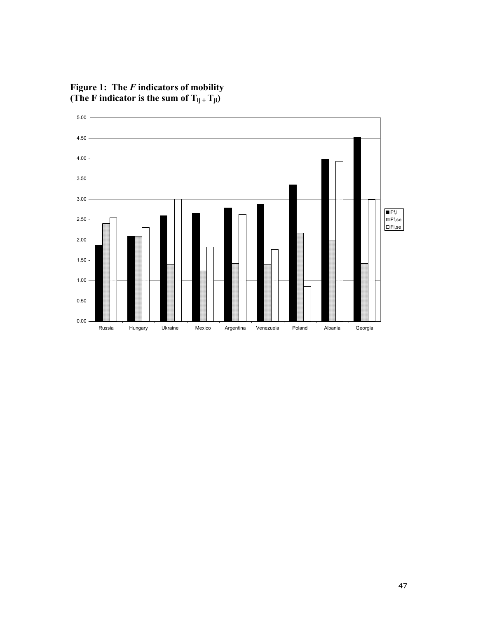**Figure 1: The** *F* **indicators of mobility**  (The F indicator is the sum of  $T_{ij}$  +  $T_{ji}$ )

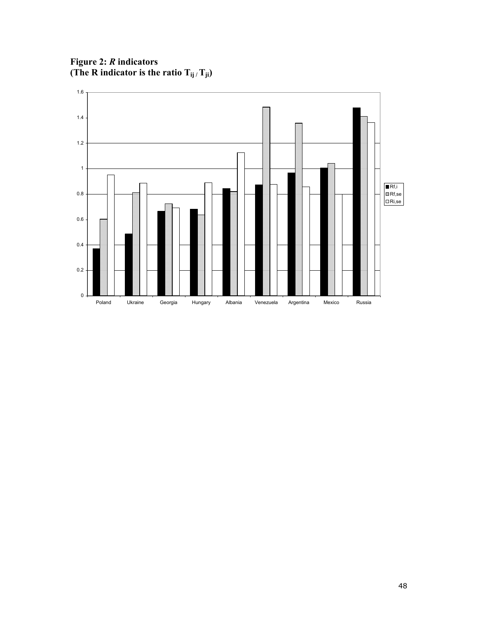**Figure 2:** *R* **indicators**  (The R indicator is the ratio  $T_{ij}/T_{ji}$ )

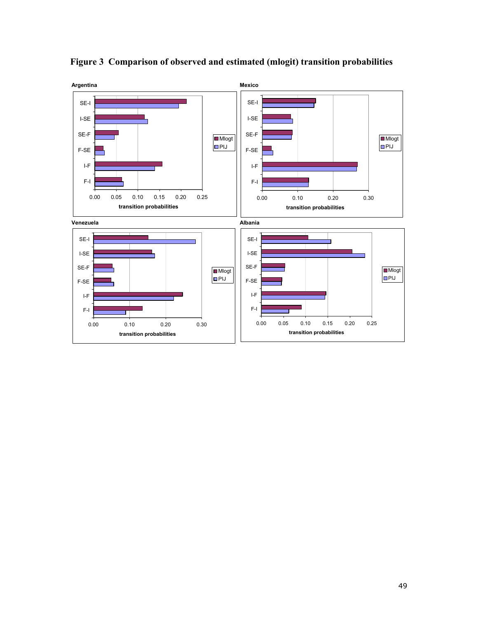

**Figure 3 Comparison of observed and estimated (mlogit) transition probabilities**